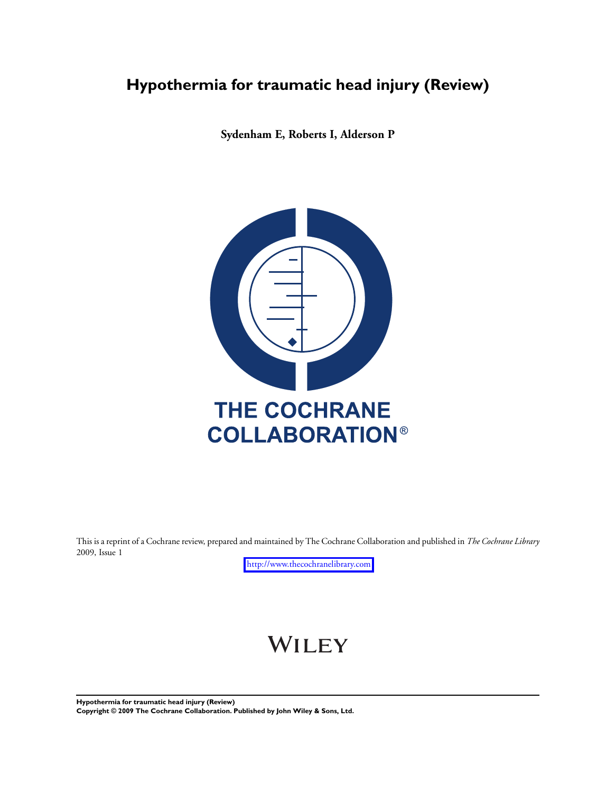## **Hypothermia for traumatic head injury (Review)**

**Sydenham E, Roberts I, Alderson P**



This is a reprint of a Cochrane review, prepared and maintained by The Cochrane Collaboration and published in *The Cochrane Library* 2009, Issue 1

<http://www.thecochranelibrary.com>

# WILEY

**Hypothermia for traumatic head injury (Review) Copyright © 2009 The Cochrane Collaboration. Published by John Wiley & Sons, Ltd.**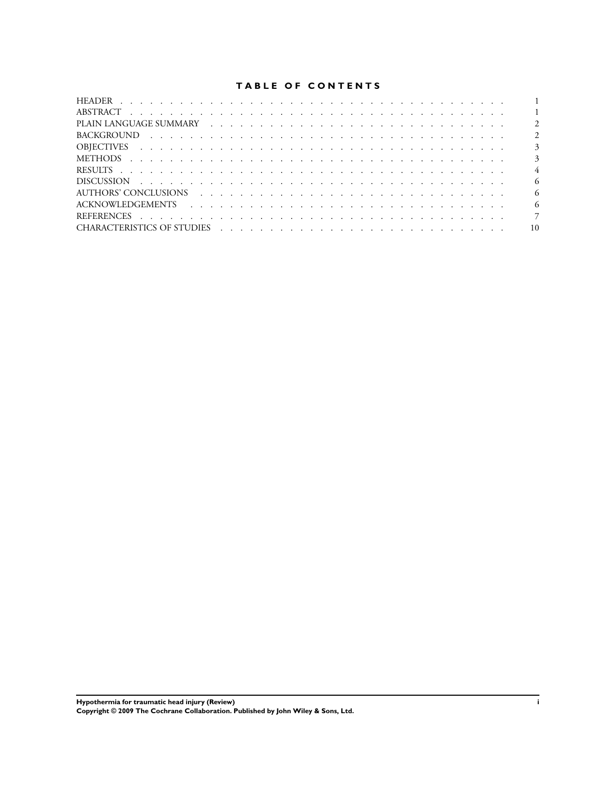## **TABLE OF CONTENTS**

| $\overline{2}$ |
|----------------|
| $\overline{3}$ |
| $\overline{3}$ |
| $\overline{4}$ |
| -6             |
| - 6            |
| - 6            |
| 7              |
| 10             |

**Hypothermia for traumatic head injury (Review) i Copyright © 2009 The Cochrane Collaboration. Published by John Wiley & Sons, Ltd.**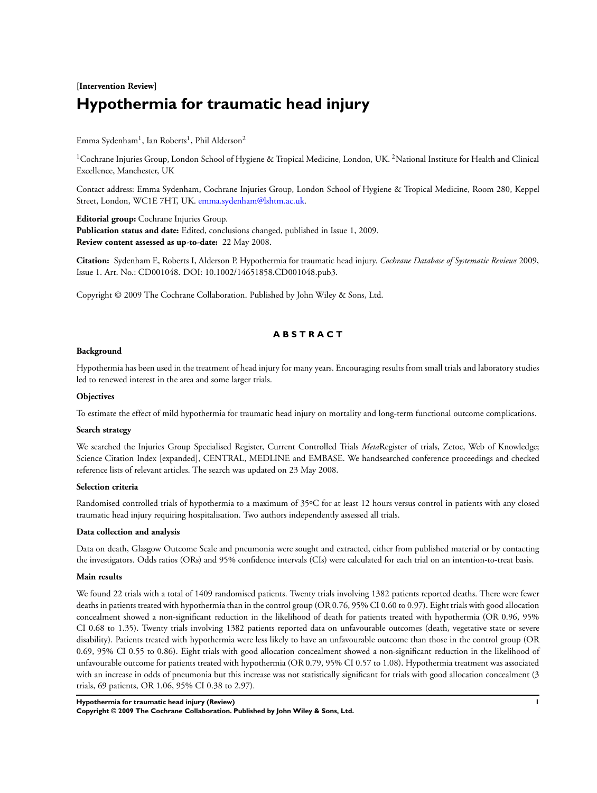## **[Intervention Review] Hypothermia for traumatic head injury**

## Emma Sydenham $^{\rm l}$ , Ian Roberts $^{\rm l}$ , Phil Alderson $^{\rm 2}$

<sup>1</sup>Cochrane Injuries Group, London School of Hygiene & Tropical Medicine, London, UK.<sup>2</sup>National Institute for Health and Clinical Excellence, Manchester, UK

Contact address: Emma Sydenham, Cochrane Injuries Group, London School of Hygiene & Tropical Medicine, Room 280, Keppel Street, London, WC1E 7HT, UK. [emma.sydenham@lshtm.ac.uk.](mailto:emma.sydenham@lshtm.ac.uk)

**Editorial group:** Cochrane Injuries Group.

**Publication status and date:** Edited, conclusions changed, published in Issue 1, 2009. **Review content assessed as up-to-date:** 22 May 2008.

**Citation:** Sydenham E, Roberts I, Alderson P. Hypothermia for traumatic head injury. *Cochrane Database of Systematic Reviews* 2009, Issue 1. Art. No.: CD001048. DOI: 10.1002/14651858.CD001048.pub3.

Copyright © 2009 The Cochrane Collaboration. Published by John Wiley & Sons, Ltd.

## **A B S T R A C T**

#### **Background**

Hypothermia has been used in the treatment of head injury for many years. Encouraging results from small trials and laboratory studies led to renewed interest in the area and some larger trials.

#### **Objectives**

To estimate the effect of mild hypothermia for traumatic head injury on mortality and long-term functional outcome complications.

#### **Search strategy**

We searched the Injuries Group Specialised Register, Current Controlled Trials *Meta*Register of trials, Zetoc, Web of Knowledge; Science Citation Index [expanded], CENTRAL, MEDLINE and EMBASE. We handsearched conference proceedings and checked reference lists of relevant articles. The search was updated on 23 May 2008.

#### **Selection criteria**

Randomised controlled trials of hypothermia to a maximum of 35ºC for at least 12 hours versus control in patients with any closed traumatic head injury requiring hospitalisation. Two authors independently assessed all trials.

#### **Data collection and analysis**

Data on death, Glasgow Outcome Scale and pneumonia were sought and extracted, either from published material or by contacting the investigators. Odds ratios (ORs) and 95% confidence intervals (CIs) were calculated for each trial on an intention-to-treat basis.

#### **Main results**

We found 22 trials with a total of 1409 randomised patients. Twenty trials involving 1382 patients reported deaths. There were fewer deaths in patients treated with hypothermia than in the control group (OR 0.76, 95% CI 0.60 to 0.97). Eight trials with good allocation concealment showed a non-significant reduction in the likelihood of death for patients treated with hypothermia (OR 0.96, 95% CI 0.68 to 1.35). Twenty trials involving 1382 patients reported data on unfavourable outcomes (death, vegetative state or severe disability). Patients treated with hypothermia were less likely to have an unfavourable outcome than those in the control group (OR 0.69, 95% CI 0.55 to 0.86). Eight trials with good allocation concealment showed a non-significant reduction in the likelihood of unfavourable outcome for patients treated with hypothermia (OR 0.79, 95% CI 0.57 to 1.08). Hypothermia treatment was associated with an increase in odds of pneumonia but this increase was not statistically significant for trials with good allocation concealment (3 trials, 69 patients, OR 1.06, 95% CI 0.38 to 2.97).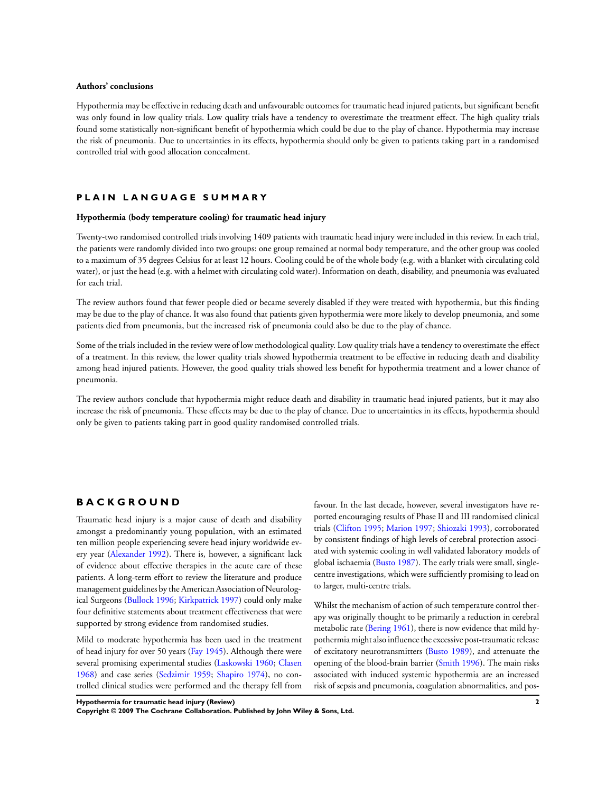#### **Authors' conclusions**

Hypothermia may be effective in reducing death and unfavourable outcomes for traumatic head injured patients, but significant benefit was only found in low quality trials. Low quality trials have a tendency to overestimate the treatment effect. The high quality trials found some statistically non-significant benefit of hypothermia which could be due to the play of chance. Hypothermia may increase the risk of pneumonia. Due to uncertainties in its effects, hypothermia should only be given to patients taking part in a randomised controlled trial with good allocation concealment.

#### **P L A I N L A N G U A G E S U M M A R Y**

#### **Hypothermia (body temperature cooling) for traumatic head injury**

Twenty-two randomised controlled trials involving 1409 patients with traumatic head injury were included in this review. In each trial, the patients were randomly divided into two groups: one group remained at normal body temperature, and the other group was cooled to a maximum of 35 degrees Celsius for at least 12 hours. Cooling could be of the whole body (e.g. with a blanket with circulating cold water), or just the head (e.g. with a helmet with circulating cold water). Information on death, disability, and pneumonia was evaluated for each trial.

The review authors found that fewer people died or became severely disabled if they were treated with hypothermia, but this finding may be due to the play of chance. It was also found that patients given hypothermia were more likely to develop pneumonia, and some patients died from pneumonia, but the increased risk of pneumonia could also be due to the play of chance.

Some of the trials included in the review were of low methodological quality. Low quality trials have a tendency to overestimate the effect of a treatment. In this review, the lower quality trials showed hypothermia treatment to be effective in reducing death and disability among head injured patients. However, the good quality trials showed less benefit for hypothermia treatment and a lower chance of pneumonia.

The review authors conclude that hypothermia might reduce death and disability in traumatic head injured patients, but it may also increase the risk of pneumonia. These effects may be due to the play of chance. Due to uncertainties in its effects, hypothermia should only be given to patients taking part in good quality randomised controlled trials.

## **B A C K G R O U N D**

Traumatic head injury is a major cause of death and disability amongst a predominantly young population, with an estimated ten million people experiencing severe head injury worldwide every year [\(Alexander 1992\)](#page-8-0). There is, however, a significant lack of evidence about effective therapies in the acute care of these patients. A long-term effort to review the literature and produce management guidelines by the American Association of Neurological Surgeons ([Bullock 1996;](#page-8-0) [Kirkpatrick 1997](#page-8-0)) could only make four definitive statements about treatment effectiveness that were supported by strong evidence from randomised studies.

Mild to moderate hypothermia has been used in the treatment of head injury for over 50 years [\(Fay 1945\)](#page-8-0). Although there were several promising experimental studies [\(Laskowski 1960;](#page-8-0) [Clasen](#page-8-0) [1968](#page-8-0)) and case series ([Sedzimir 1959;](#page-8-0) [Shapiro 1974](#page-8-0)), no controlled clinical studies were performed and the therapy fell from

favour. In the last decade, however, several investigators have reported encouraging results of Phase II and III randomised clinical trials [\(Clifton 1995;](#page-8-0) [Marion 1997;](#page-8-0) [Shiozaki 1993](#page-8-0)), corroborated by consistent findings of high levels of cerebral protection associated with systemic cooling in well validated laboratory models of global ischaemia ([Busto 1987\)](#page-8-0). The early trials were small, singlecentre investigations, which were sufficiently promising to lead on to larger, multi-centre trials.

Whilst the mechanism of action of such temperature control therapy was originally thought to be primarily a reduction in cerebral metabolic rate [\(Bering 1961](#page-8-0)), there is now evidence that mild hypothermia might also influence the excessive post-traumatic release of excitatory neurotransmitters [\(Busto 1989](#page-8-0)), and attenuate the opening of the blood-brain barrier ([Smith 1996\)](#page-8-0). The main risks associated with induced systemic hypothermia are an increased risk of sepsis and pneumonia, coagulation abnormalities, and pos-

**Hypothermia for traumatic head injury (Review) 2**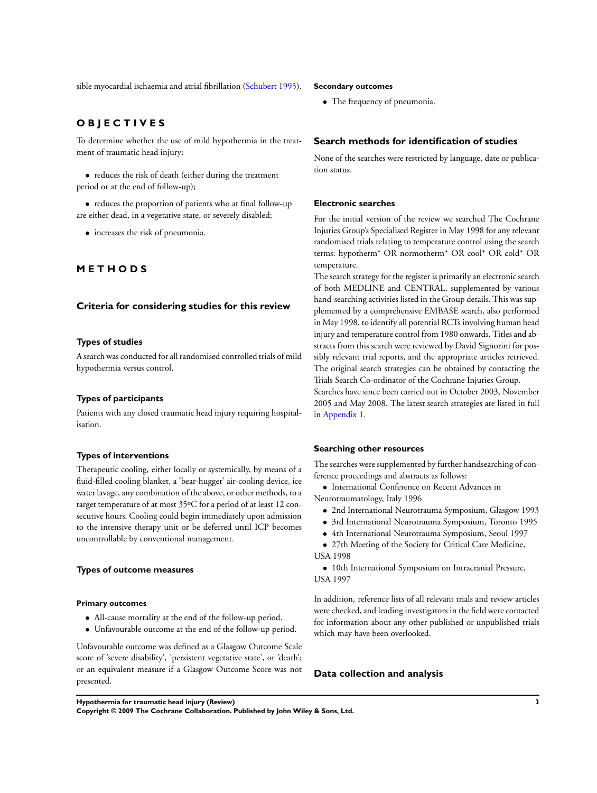sible myocardial ischaemia and atrial fibrillation [\(Schubert 1995](#page-8-0)).

## **O B J E C T I V E S**

To determine whether the use of mild hypothermia in the treatment of traumatic head injury:

• reduces the risk of death (either during the treatment period or at the end of follow-up);

• reduces the proportion of patients who at final follow-up are either dead, in a vegetative state, or severely disabled;

• increases the risk of pneumonia.

## **M E T H O D S**

#### **Criteria for considering studies for this review**

#### **Types of studies**

A search was conducted for all randomised controlled trials of mild hypothermia versus control.

#### **Types of participants**

Patients with any closed traumatic head injury requiring hospitalisation.

#### **Types of interventions**

Therapeutic cooling, either locally or systemically, by means of a fluid-filled cooling blanket, a 'bear-hugger' air-cooling device, ice water lavage, any combination of the above, or other methods, to a target temperature of at most 35ºC for a period of at least 12 consecutive hours. Cooling could begin immediately upon admission to the intensive therapy unit or be deferred until ICP becomes uncontrollable by conventional management.

#### **Types of outcome measures**

#### **Primary outcomes**

- All-cause mortality at the end of the follow-up period.
- Unfavourable outcome at the end of the follow-up period.

Unfavourable outcome was defined as a Glasgow Outcome Scale score of 'severe disability', 'persistent vegetative state', or 'death'; or an equivalent measure if a Glasgow Outcome Score was not presented.

#### **Secondary outcomes**

• The frequency of pneumonia.

## **Search methods for identification of studies**

None of the searches were restricted by language, date or publication status.

#### **Electronic searches**

For the initial version of the review we searched The Cochrane Injuries Group's Specialised Register in May 1998 for any relevant randomised trials relating to temperature control using the search terms: hypotherm\* OR normotherm\* OR cool\* OR cold\* OR temperature.

The search strategy for the register is primarily an electronic search of both MEDLINE and CENTRAL, supplemented by various hand-searching activities listed in the Group details. This was supplemented by a comprehensive EMBASE search, also performed in May 1998, to identify all potential RCTs involving human head injury and temperature control from 1980 onwards. Titles and abstracts from this search were reviewed by David Signorini for possibly relevant trial reports, and the appropriate articles retrieved. The original search strategies can be obtained by contacting the Trials Search Co-ordinator of the Cochrane Injuries Group.

Searches have since been carried out in October 2003, November 2005 and May 2008. The latest search strategies are listed in full in Appendix 1.

#### **Searching other resources**

The searches were supplemented by further handsearching of conference proceedings and abstracts as follows:

• International Conference on Recent Advances in Neurotraumatology, Italy 1996

- 2nd International Neurotrauma Symposium, Glasgow 1993
- 3rd International Neurotrauma Symposium, Toronto 1995
	- 4th International Neurotrauma Symposium, Seoul 1997

• 27th Meeting of the Society for Critical Care Medicine, USA 1998

• 10th International Symposium on Intracranial Pressure, USA 1997

In addition, reference lists of all relevant trials and review articles were checked, and leading investigators in the field were contacted for information about any other published or unpublished trials which may have been overlooked.

#### **Data collection and analysis**

**Hypothermia for traumatic head injury (Review) 3**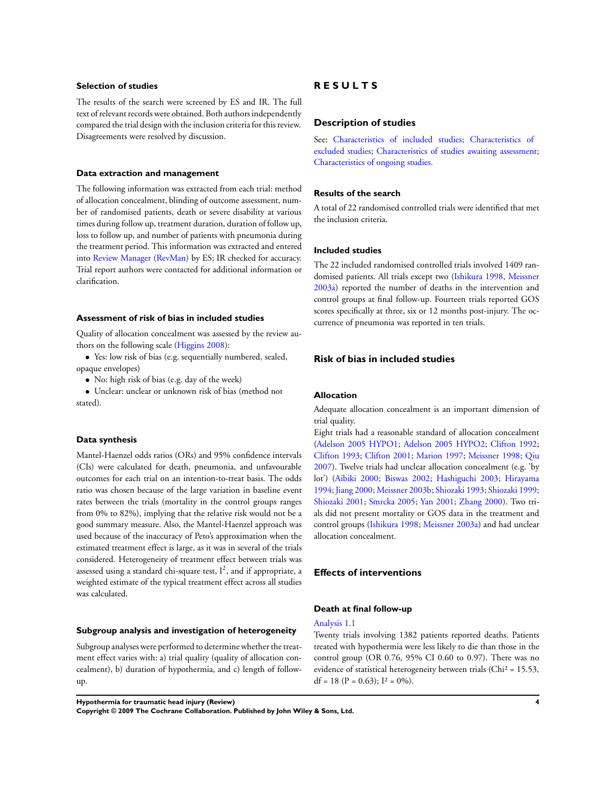#### **Selection of studies**

The results of the search were screened by ES and IR. The full text of relevant records were obtained. Both authors independently compared the trial design with the inclusion criteria for this review. Disagreements were resolved by discussion.

#### **Data extraction and management**

The following information was extracted from each trial: method of allocation concealment, blinding of outcome assessment, number of randomised patients, death or severe disability at various times during follow up, treatment duration, duration of follow up, loss to follow up, and number of patients with pneumonia during the treatment period. This information was extracted and entered into [Review Manager \(RevMan\)](#page-8-0) by ES; IR checked for accuracy. Trial report authors were contacted for additional information or clarification.

#### **Assessment of risk of bias in included studies**

Quality of allocation concealment was assessed by the review authors on the following scale ([Higgins 2008](#page-8-0)):

• Yes: low risk of bias (e.g. sequentially numbered, sealed, opaque envelopes)

• No: high risk of bias (e.g. day of the week)

• Unclear: unclear or unknown risk of bias (method not stated).

#### **Data synthesis**

Mantel-Haenzel odds ratios (ORs) and 95% confidence intervals (CIs) were calculated for death, pneumonia, and unfavourable outcomes for each trial on an intention-to-treat basis. The odds ratio was chosen because of the large variation in baseline event rates between the trials (mortality in the control groups ranges from 0% to 82%), implying that the relative risk would not be a good summary measure. Also, the Mantel-Haenzel approach was used because of the inaccuracy of Peto's approximation when the estimated treatment effect is large, as it was in several of the trials considered. Heterogeneity of treatment effect between trials was assessed using a standard chi-square test,  $I^2$ , and if appropriate, a weighted estimate of the typical treatment effect across all studies was calculated.

#### **Subgroup analysis and investigation of heterogeneity**

Subgroup analyses were performed to determine whether the treatment effect varies with: a) trial quality (quality of allocation concealment), b) duration of hypothermia, and c) length of followup.

#### **Hypothermia for traumatic head injury (Review) 4**

**Copyright © 2009 The Cochrane Collaboration. Published by John Wiley & Sons, Ltd.**

## **R E S U L T S**

#### **Description of studies**

See: [Characteristics of included studies](#page-12-0); [Characteristics of](#page-23-0) [excluded studies](#page-23-0); [Characteristics of studies awaiting assessment;](#page-24-0) [Characteristics of ongoing studies.](#page-27-0)

#### **Results of the search**

A total of 22 randomised controlled trials were identified that met the inclusion criteria.

#### **Included studies**

The 22 included randomised controlled trials involved 1409 randomised patients. All trials except two [\(Ishikura 1998](#page-8-0), [Meissner](#page-8-0) [2003a\)](#page-8-0) reported the number of deaths in the intervention and control groups at final follow-up. Fourteen trials reported GOS scores specifically at three, six or 12 months post-injury. The occurrence of pneumonia was reported in ten trials.

#### **Risk of bias in included studies**

#### **Allocation**

Adequate allocation concealment is an important dimension of trial quality.

Eight trials had a reasonable standard of allocation concealment [\(Adelson 2005 HYPO1](#page-8-0); [Adelson 2005 HYPO2](#page-8-0); [Clifton 1992;](#page-8-0) [Clifton 1993](#page-8-0); [Clifton 2001](#page-8-0); [Marion 1997](#page-8-0); [Meissner 1998](#page-8-0); [Qiu](#page-8-0) [2007](#page-8-0)). Twelve trials had unclear allocation concealment (e.g. 'by lot') [\(Aibiki 2000;](#page-8-0) [Biswas 2002](#page-8-0); [Hashiguchi 2003;](#page-8-0) [Hirayama](#page-8-0) [1994](#page-8-0); [Jiang 2000](#page-8-0); [Meissner 2003b;](#page-8-0) [Shiozaki 1993](#page-8-0); [Shiozaki 1999;](#page-8-0) [Shiozaki 2001](#page-8-0); [Smrcka 2005;](#page-8-0) [Yan 2001](#page-8-0); [Zhang 2000\)](#page-8-0). Two trials did not present mortality or GOS data in the treatment and control groups [\(Ishikura 1998;](#page-8-0) [Meissner 2003a](#page-8-0)) and had unclear allocation concealment.

#### **Effects of interventions**

## **Death at final follow-up**

#### Analysis 1.1

Twenty trials involving 1382 patients reported deaths. Patients treated with hypothermia were less likely to die than those in the control group (OR 0.76, 95% CI 0.60 to 0.97). There was no evidence of statistical heterogeneity between trials (Chi<sup>2</sup> = 15.53, df = 18 (P = 0.63);  $I^2 = 0\%$ ).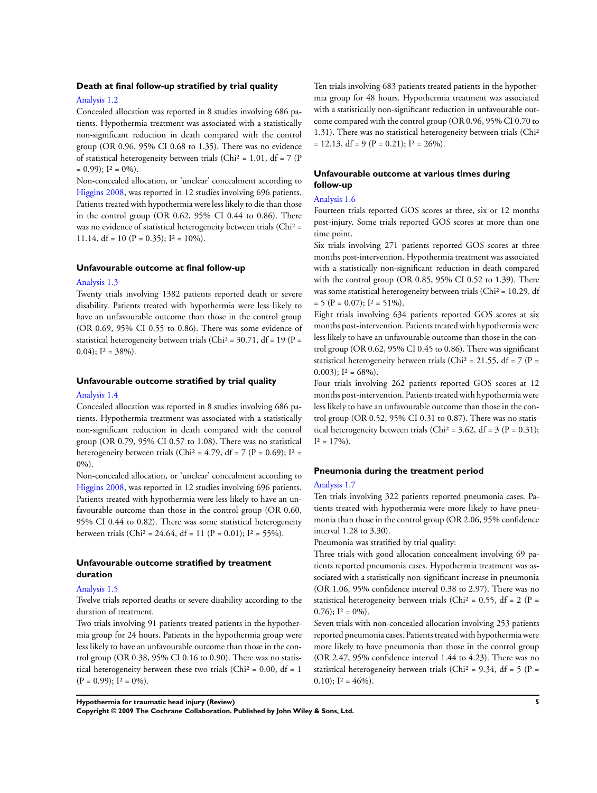#### **Death at final follow-up stratified by trial quality**

#### Analysis 1.2

Concealed allocation was reported in 8 studies involving 686 patients. Hypothermia treatment was associated with a statistically non-significant reduction in death compared with the control group (OR 0.96, 95% CI 0.68 to 1.35). There was no evidence of statistical heterogeneity between trials (Chi<sup>2</sup> = 1.01, df = 7 (P  $= 0.99$ ;  $I^2 = 0\%$ ).

Non-concealed allocation, or 'unclear' concealment according to [Higgins 2008,](#page-8-0) was reported in 12 studies involving 696 patients. Patients treated with hypothermia were less likely to die than those in the control group (OR 0.62, 95% CI 0.44 to 0.86). There was no evidence of statistical heterogeneity between trials (Chi<sup>2</sup> = 11.14, df = 10 ( $P = 0.35$ );  $I^2 = 10\%$ ).

#### **Unfavourable outcome at final follow-up**

#### Analysis 1.3

Twenty trials involving 1382 patients reported death or severe disability. Patients treated with hypothermia were less likely to have an unfavourable outcome than those in the control group (OR 0.69, 95% CI 0.55 to 0.86). There was some evidence of statistical heterogeneity between trials (Chi<sup>2</sup> =  $30.71$ , df = 19 (P = 0.04);  $I^2 = 38\%$ .

#### **Unfavourable outcome stratified by trial quality**

#### Analysis 1.4

Concealed allocation was reported in 8 studies involving 686 patients. Hypothermia treatment was associated with a statistically non-significant reduction in death compared with the control group (OR 0.79, 95% CI 0.57 to 1.08). There was no statistical heterogeneity between trials (Chi<sup>2</sup> = 4.79, df = 7 (P = 0.69);  $I^2$  = 0%).

Non-concealed allocation, or 'unclear' concealment according to [Higgins 2008,](#page-8-0) was reported in 12 studies involving 696 patients. Patients treated with hypothermia were less likely to have an unfavourable outcome than those in the control group (OR 0.60, 95% CI 0.44 to 0.82). There was some statistical heterogeneity between trials (Chi<sup>2</sup> = 24.64, df = 11 (P = 0.01);  $I^2$  = 55%).

#### **Unfavourable outcome stratified by treatment duration**

#### Analysis 1.5

Twelve trials reported deaths or severe disability according to the duration of treatment.

Two trials involving 91 patients treated patients in the hypothermia group for 24 hours. Patients in the hypothermia group were less likely to have an unfavourable outcome than those in the control group (OR 0.38, 95% CI 0.16 to 0.90). There was no statistical heterogeneity between these two trials (Chi<sup>2</sup> = 0.00, df = 1  $(P = 0.99)$ ;  $I^2 = 0\%$ ).

Ten trials involving 683 patients treated patients in the hypothermia group for 48 hours. Hypothermia treatment was associated with a statistically non-significant reduction in unfavourable outcome compared with the control group (OR 0.96, 95% CI 0.70 to 1.31). There was no statistical heterogeneity between trials (Chi²  $= 12.13$ , df  $= 9 (P = 0.21)$ ;  $I^2 = 26\%$ ).

#### **Unfavourable outcome at various times during follow-up**

#### Analysis 1.6

Fourteen trials reported GOS scores at three, six or 12 months post-injury. Some trials reported GOS scores at more than one time point.

Six trials involving 271 patients reported GOS scores at three months post-intervention. Hypothermia treatment was associated with a statistically non-significant reduction in death compared with the control group (OR 0.85, 95% CI 0.52 to 1.39). There was some statistical heterogeneity between trials (Chi<sup>2</sup> = 10.29, df  $= 5 (P = 0.07); I<sup>2</sup> = 51\%).$ 

Eight trials involving 634 patients reported GOS scores at six months post-intervention. Patients treated with hypothermia were less likely to have an unfavourable outcome than those in the control group (OR 0.62, 95% CI 0.45 to 0.86). There was significant statistical heterogeneity between trials (Chi<sup>2</sup> = 21.55, df = 7 (P = 0.003);  $I^2 = 68\%$ .

Four trials involving 262 patients reported GOS scores at 12 months post-intervention. Patients treated with hypothermia were less likely to have an unfavourable outcome than those in the control group (OR 0.52, 95% CI 0.31 to 0.87). There was no statistical heterogeneity between trials (Chi<sup>2</sup> = 3.62, df = 3 (P = 0.31);  $I^2 = 17\%$ ).

#### **Pneumonia during the treatment period**

#### Analysis 1.7

Ten trials involving 322 patients reported pneumonia cases. Patients treated with hypothermia were more likely to have pneumonia than those in the control group (OR 2.06, 95% confidence interval 1.28 to 3.30).

Pneumonia was stratified by trial quality:

Three trials with good allocation concealment involving 69 patients reported pneumonia cases. Hypothermia treatment was associated with a statistically non-significant increase in pneumonia (OR 1.06, 95% confidence interval 0.38 to 2.97). There was no statistical heterogeneity between trials (Chi<sup>2</sup> = 0.55, df = 2 (P = 0.76);  $I^2 = 0\%$ .

Seven trials with non-concealed allocation involving 253 patients reported pneumonia cases. Patients treated with hypothermia were more likely to have pneumonia than those in the control group (OR 2.47, 95% confidence interval 1.44 to 4.23). There was no statistical heterogeneity between trials (Chi<sup>2</sup> = 9.34, df = 5 (P = 0.10);  $I^2 = 46\%$ .

**Hypothermia for traumatic head injury (Review) 5**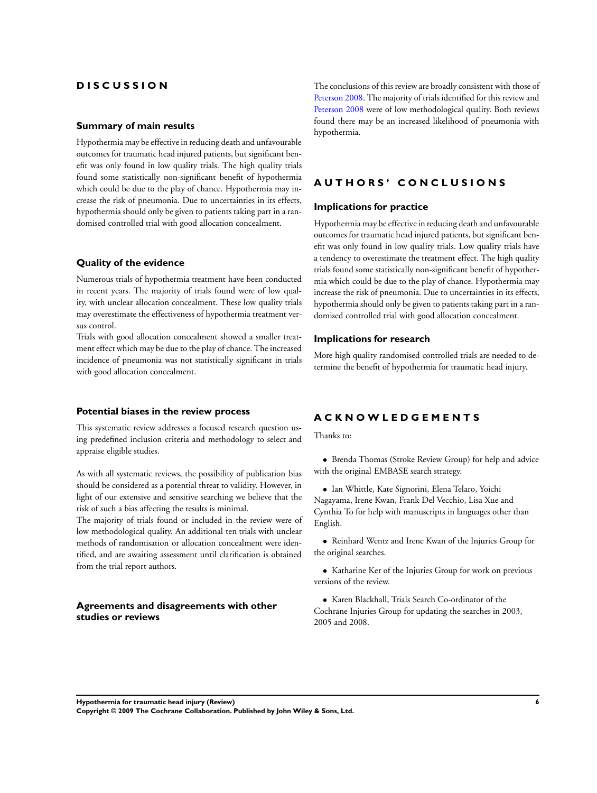## **D I S C U S S I O N**

#### **Summary of main results**

Hypothermia may be effective in reducing death and unfavourable outcomes for traumatic head injured patients, but significant benefit was only found in low quality trials. The high quality trials found some statistically non-significant benefit of hypothermia which could be due to the play of chance. Hypothermia may increase the risk of pneumonia. Due to uncertainties in its effects, hypothermia should only be given to patients taking part in a randomised controlled trial with good allocation concealment.

#### **Quality of the evidence**

Numerous trials of hypothermia treatment have been conducted in recent years. The majority of trials found were of low quality, with unclear allocation concealment. These low quality trials may overestimate the effectiveness of hypothermia treatment versus control.

Trials with good allocation concealment showed a smaller treatment effect which may be due to the play of chance. The increased incidence of pneumonia was not statistically significant in trials with good allocation concealment.

#### **Potential biases in the review process**

This systematic review addresses a focused research question using predefined inclusion criteria and methodology to select and appraise eligible studies.

As with all systematic reviews, the possibility of publication bias should be considered as a potential threat to validity. However, in light of our extensive and sensitive searching we believe that the risk of such a bias affecting the results is minimal.

The majority of trials found or included in the review were of low methodological quality. An additional ten trials with unclear methods of randomisation or allocation concealment were identified, and are awaiting assessment until clarification is obtained from the trial report authors.

#### **Agreements and disagreements with other studies or reviews**

The conclusions of this review are broadly consistent with those of [Peterson 2008](#page-8-0). The majority of trials identified for this review and [Peterson 2008](#page-8-0) were of low methodological quality. Both reviews found there may be an increased likelihood of pneumonia with hypothermia.

## **A U T H O R S ' C O N C L U S I O N S**

#### **Implications for practice**

Hypothermia may be effective in reducing death and unfavourable outcomes for traumatic head injured patients, but significant benefit was only found in low quality trials. Low quality trials have a tendency to overestimate the treatment effect. The high quality trials found some statistically non-significant benefit of hypothermia which could be due to the play of chance. Hypothermia may increase the risk of pneumonia. Due to uncertainties in its effects, hypothermia should only be given to patients taking part in a randomised controlled trial with good allocation concealment.

#### **Implications for research**

More high quality randomised controlled trials are needed to determine the benefit of hypothermia for traumatic head injury.

## **A C K N O W L E D G E M E N T S**

Thanks to:

• Brenda Thomas (Stroke Review Group) for help and advice with the original EMBASE search strategy.

- Ian Whittle, Kate Signorini, Elena Telaro, Yoichi Nagayama, Irene Kwan, Frank Del Vecchio, Lisa Xue and Cynthia To for help with manuscripts in languages other than English.
- Reinhard Wentz and Irene Kwan of the Injuries Group for the original searches.
- Katharine Ker of the Injuries Group for work on previous versions of the review.
- Karen Blackhall, Trials Search Co-ordinator of the Cochrane Injuries Group for updating the searches in 2003, 2005 and 2008.

**Hypothermia for traumatic head injury (Review) 6 Copyright © 2009 The Cochrane Collaboration. Published by John Wiley & Sons, Ltd.**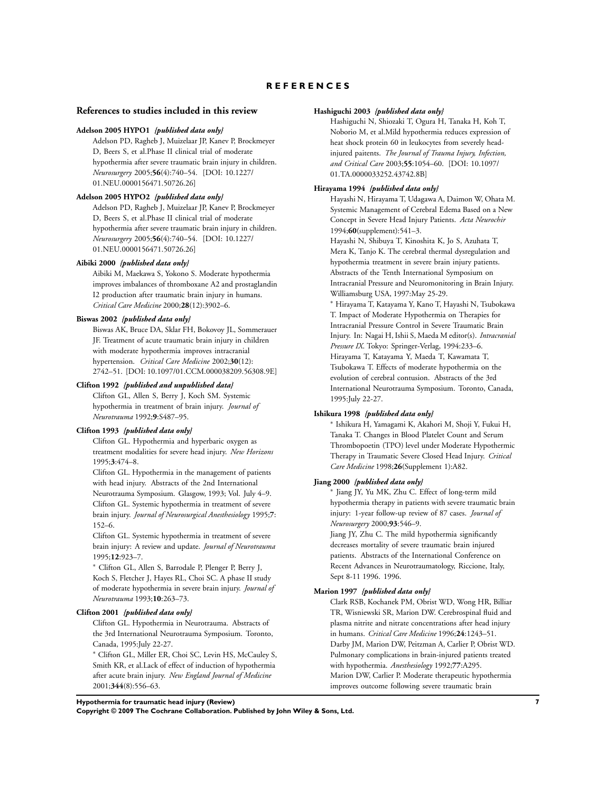### **R E F E R E N C E S**

#### <span id="page-8-0"></span>**References to studies included in this review**

#### **Adelson 2005 HYPO1** *{published data only}*

Adelson PD, Ragheb J, Muizelaar JP, Kanev P, Brockmeyer D, Beers S, et al.Phase II clinical trial of moderate hypothermia after severe traumatic brain injury in children. *Neurosurgery* 2005;**56**(4):740–54. [DOI: 10.1227/ 01.NEU.0000156471.50726.26]

#### **Adelson 2005 HYPO2** *{published data only}*

Adelson PD, Ragheb J, Muizelaar JP, Kanev P, Brockmeyer D, Beers S, et al.Phase II clinical trial of moderate hypothermia after severe traumatic brain injury in children. *Neurosurgery* 2005;**56**(4):740–54. [DOI: 10.1227/ 01.NEU.0000156471.50726.26]

#### **Aibiki 2000** *{published data only}*

Aibiki M, Maekawa S, Yokono S. Moderate hypothermia improves imbalances of thromboxane A2 and prostaglandin I2 production after traumatic brain injury in humans. *Critical Care Medicine* 2000;**28**(12):3902–6.

#### **Biswas 2002** *{published data only}*

Biswas AK, Bruce DA, Sklar FH, Bokovoy JL, Sommerauer JF. Treatment of acute traumatic brain injury in children with moderate hypothermia improves intracranial hypertension. *Critical Care Medicine* 2002;**30**(12): 2742–51. [DOI: 10.1097/01.CCM.000038209.56308.9E]

#### **Clifton 1992** *{published and unpublished data}*

Clifton GL, Allen S, Berry J, Koch SM. Systemic hypothermia in treatment of brain injury. *Journal of Neurotrauma* 1992;**9**:S487–95.

#### **Clifton 1993** *{published data only}*

Clifton GL. Hypothermia and hyperbaric oxygen as treatment modalities for severe head injury. *New Horizons* 1995;**3**:474–8.

Clifton GL. Hypothermia in the management of patients with head injury. Abstracts of the 2nd International Neurotrauma Symposium. Glasgow, 1993; Vol. July 4–9. Clifton GL. Systemic hypothermia in treatment of severe brain injury. *Journal of Neurosurgical Anesthesiology* 1995;**7**: 152–6.

Clifton GL. Systemic hypothermia in treatment of severe brain injury: A review and update. *Journal of Neurotrauma* 1995;**12**:923–7.

<sup>∗</sup> Clifton GL, Allen S, Barrodale P, Plenger P, Berry J, Koch S, Fletcher J, Hayes RL, Choi SC. A phase II study of moderate hypothermia in severe brain injury. *Journal of Neurotrauma* 1993;**10**:263–73.

#### **Clifton 2001** *{published data only}*

Clifton GL. Hypothermia in Neurotrauma. Abstracts of the 3rd International Neurotrauma Symposium. Toronto, Canada, 1995:July 22-27.

<sup>∗</sup> Clifton GL, Miller ER, Choi SC, Levin HS, McCauley S, Smith KR, et al.Lack of effect of induction of hypothermia after acute brain injury. *New England Journal of Medicine* 2001;**344**(8):556–63.

#### **Hashiguchi 2003** *{published data only}*

Hashiguchi N, Shiozaki T, Ogura H, Tanaka H, Koh T, Noborio M, et al.Mild hypothermia reduces expression of heat shock protein 60 in leukocytes from severely headinjured paitents. *The Journal of Trauma Injury, Infection, and Critical Care* 2003;**55**:1054–60. [DOI: 10.1097/ 01.TA.0000033252.43742.8B]

#### **Hirayama 1994** *{published data only}*

Hayashi N, Hirayama T, Udagawa A, Daimon W, Ohata M. Systemic Management of Cerebral Edema Based on a New Concept in Severe Head Injury Patients. *Acta Neurochir* 1994;**60**(supplement):541–3.

Hayashi N, Shibuya T, Kinoshita K, Jo S, Azuhata T, Mera K, Tanjo K. The cerebral thermal dysregulation and hypothermia treatment in severe brain injury patients. Abstracts of the Tenth International Symposium on Intracranial Pressure and Neuromonitoring in Brain Injury. Williamsburg USA, 1997:May 25-29.

<sup>∗</sup> Hirayama T, Katayama Y, Kano T, Hayashi N, Tsubokawa T. Impact of Moderate Hypothermia on Therapies for Intracranial Pressure Control in Severe Traumatic Brain Injury. In: Nagai H, Ishii S, Maeda M editor(s). *Intracranial Pressure IX*. Tokyo: Springer-Verlag, 1994:233–6. Hirayama T, Katayama Y, Maeda T, Kawamata T, Tsubokawa T. Effects of moderate hypothermia on the evolution of cerebral contusion. Abstracts of the 3rd International Neurotrauma Symposium. Toronto, Canada, 1995:July 22-27.

#### **Ishikura 1998** *{published data only}*

∗ Ishikura H, Yamagami K, Akahori M, Shoji Y, Fukui H, Tanaka T. Changes in Blood Platelet Count and Serum Thrombopoetin (TPO) level under Moderate Hypothermic Therapy in Traumatic Severe Closed Head Injury. *Critical Care Medicine* 1998;**26**(Supplement 1):A82.

## **Jiang 2000** *{published data only}*

∗ Jiang JY, Yu MK, Zhu C. Effect of long-term mild hypothermia therapy in patients with severe traumatic brain injury: 1-year follow-up review of 87 cases. *Journal of Neurosurgery* 2000;**93**:546–9.

Jiang JY, Zhu C. The mild hypothermia significantly decreases mortality of severe traumatic brain injured patients. Abstracts of the International Conference on Recent Advances in Neurotraumatology, Riccione, Italy, Sept 8-11 1996. 1996.

#### **Marion 1997** *{published data only}*

Clark RSB, Kochanek PM, Obrist WD, Wong HR, Billiar TR, Wisniewski SR, Marion DW. Cerebrospinal fluid and plasma nitrite and nitrate concentrations after head injury in humans. *Critical Care Medicine* 1996;**24**:1243–51. Darby JM, Marion DW, Peitzman A, Carlier P, Obrist WD. Pulmonary complications in brain-injured patients treated with hypothermia. *Anesthesiology* 1992;**77**:A295. Marion DW, Carlier P. Moderate therapeutic hypothermia improves outcome following severe traumatic brain

**Hypothermia for traumatic head injury (Review) 7**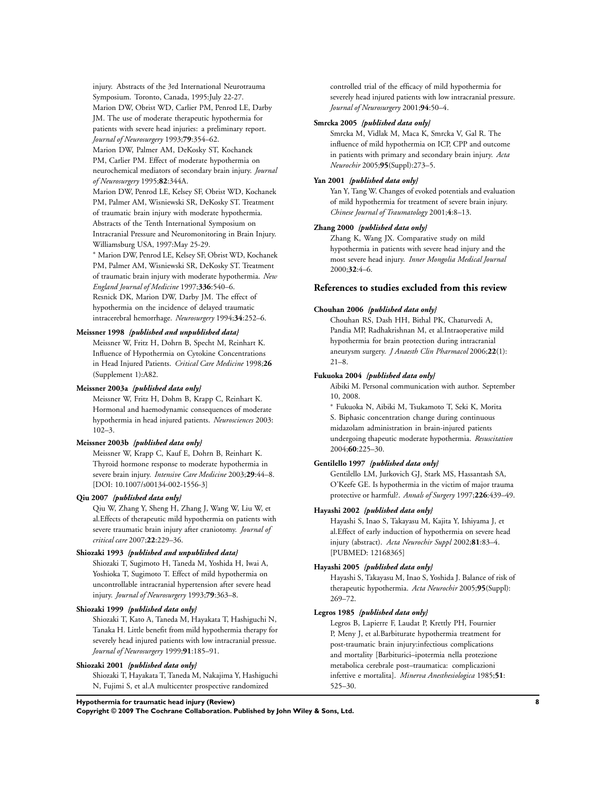injury. Abstracts of the 3rd International Neurotrauma Symposium. Toronto, Canada, 1995:July 22-27. Marion DW, Obrist WD, Carlier PM, Penrod LE, Darby JM. The use of moderate therapeutic hypothermia for patients with severe head injuries: a preliminary report. *Journal of Neurosurgery* 1993;**79**:354–62.

Marion DW, Palmer AM, DeKosky ST, Kochanek PM, Carlier PM. Effect of moderate hypothermia on neurochemical mediators of secondary brain injury. *Journal of Neurosurgery* 1995;**82**:344A.

Marion DW, Penrod LE, Kelsey SF, Obrist WD, Kochanek PM, Palmer AM, Wisniewski SR, DeKosky ST. Treatment of traumatic brain injury with moderate hypothermia. Abstracts of the Tenth International Symposium on Intracranial Pressure and Neuromonitoring in Brain Injury. Williamsburg USA, 1997:May 25-29.

<sup>∗</sup> Marion DW, Penrod LE, Kelsey SF, Obrist WD, Kochanek PM, Palmer AM, Wisniewski SR, DeKosky ST. Treatment of traumatic brain injury with moderate hypothermia. *New England Journal of Medicine* 1997;**336**:540–6. Resnick DK, Marion DW, Darby JM. The effect of hypothermia on the incidence of delayed traumatic intracerebral hemorrhage. *Neurosurgery* 1994;**34**:252–6.

#### **Meissner 1998** *{published and unpublished data}*

Meissner W, Fritz H, Dohrn B, Specht M, Reinhart K. Influence of Hypothermia on Cytokine Concentrations in Head Injured Patients. *Critical Care Medicine* 1998;**26** (Supplement 1):A82.

#### **Meissner 2003a** *{published data only}*

Meissner W, Fritz H, Dohm B, Krapp C, Reinhart K. Hormonal and haemodynamic consequences of moderate hypothermia in head injured patients. *Neurosciences* 2003: 102–3.

#### **Meissner 2003b** *{published data only}*

Meissner W, Krapp C, Kauf E, Dohrn B, Reinhart K. Thyroid hormone response to moderate hypothermia in severe brain injury. *Intensive Care Medicine* 2003;**29**:44–8. [DOI: 10.1007/s00134-002-1556-3]

#### **Qiu 2007** *{published data only}*

Qiu W, Zhang Y, Sheng H, Zhang J, Wang W, Liu W, et al.Effects of therapeutic mild hypothermia on patients with severe traumatic brain injury after craniotomy. *Journal of critical care* 2007;**22**:229–36.

#### **Shiozaki 1993** *{published and unpublished data}*

Shiozaki T, Sugimoto H, Taneda M, Yoshida H, Iwai A, Yoshioka T, Sugimoto T. Effect of mild hypothermia on uncontrollable intracranial hypertension after severe head injury. *Journal of Neurosurgery* 1993;**79**:363–8.

#### **Shiozaki 1999** *{published data only}*

Shiozaki T, Kato A, Taneda M, Hayakata T, Hashiguchi N, Tanaka H. Little benefit from mild hypothermia therapy for severely head injured patients with low intracranial pressue. *Journal of Neurosurgery* 1999;**91**:185–91.

#### **Shiozaki 2001** *{published data only}*

Shiozaki T, Hayakata T, Taneda M, Nakajima Y, Hashiguchi N, Fujimi S, et al.A multicenter prospective randomized

controlled trial of the efficacy of mild hypothermia for severely head injured patients with low intracranial pressure. *Journal of Neurosurgery* 2001;**94**:50–4.

#### **Smrcka 2005** *{published data only}*

Smrcka M, Vidlak M, Maca K, Smrcka V, Gal R. The influence of mild hypothermia on ICP, CPP and outcome in patients with primary and secondary brain injury. *Acta Neurochir* 2005;**95**(Suppl):273–5.

#### **Yan 2001** *{published data only}*

Yan Y, Tang W. Changes of evoked potentials and evaluation of mild hypothermia for treatment of severe brain injury. *Chinese Journal of Traumatology* 2001;**4**:8–13.

#### **Zhang 2000** *{published data only}*

Zhang K, Wang JX. Comparative study on mild hypothermia in patients with severe head injury and the most severe head injury. *Inner Mongolia Medical Journal* 2000;**32**:4–6.

#### **References to studies excluded from this review**

#### **Chouhan 2006** *{published data only}*

Chouhan RS, Dash HH, Bithal PK, Chaturvedi A, Pandia MP, Radhakrishnan M, et al.Intraoperative mild hypothermia for brain protection during intracranial aneurysm surgery. *J Anaesth Clin Pharmacol* 2006;**22**(1): 21–8.

#### **Fukuoka 2004** *{published data only}*

Aibiki M. Personal communication with author. September 10, 2008.

<sup>∗</sup> Fukuoka N, Aibiki M, Tsukamoto T, Seki K, Morita S. Biphasic concentration change during continuous midazolam administration in brain-injured patients undergoing thapeutic moderate hypothermia. *Resuscitation* 2004;**60**:225–30.

#### **Gentilello 1997** *{published data only}*

Gentilello LM, Jurkovich GJ, Stark MS, Hassantash SA, O'Keefe GE. Is hypothermia in the victim of major trauma protective or harmful?. *Annals of Surgery* 1997;**226**:439–49.

#### **Hayashi 2002** *{published data only}*

Hayashi S, Inao S, Takayasu M, Kajita Y, Ishiyama J, et al.Effect of early induction of hypothermia on severe head injury (abstract). *Acta Neurochir Suppl* 2002;**81**:83–4. [PUBMED: 12168365]

#### **Hayashi 2005** *{published data only}*

Hayashi S, Takayasu M, Inao S, Yoshida J. Balance of risk of therapeutic hypothermia. *Acta Neurochir* 2005;**95**(Suppl): 269–72.

#### **Legros 1985** *{published data only}*

Legros B, Lapierre F, Laudat P, Krettly PH, Fournier P, Meny J, et al.Barbiturate hypothermia treatment for post-traumatic brain injury:infectious complications and mortality [Barbiturici–ipotermia nella protezione metabolica cerebrale post–traumatica: complicazioni infettive e mortalita]. *Minerva Anesthesiologica* 1985;**51**: 525–30.

#### **Hypothermia for traumatic head injury (Review) 8**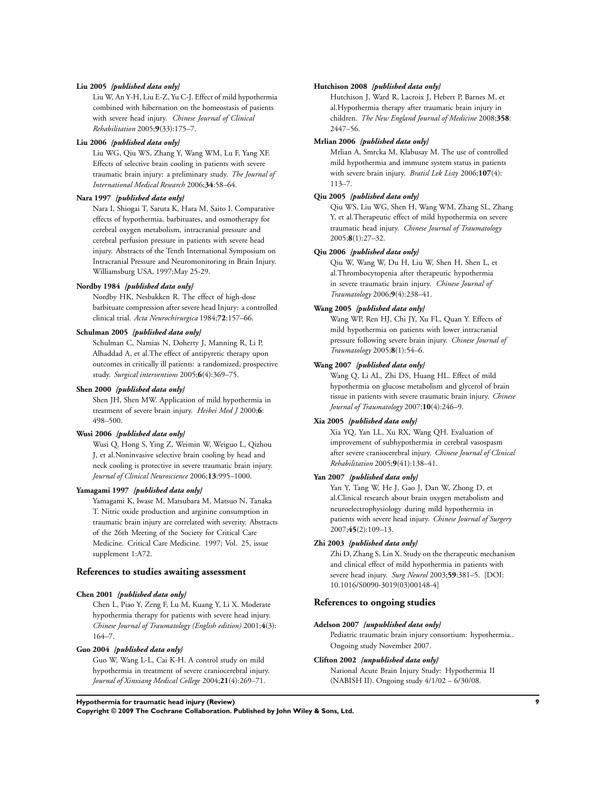#### **Liu 2005** *{published data only}*

Liu W, An Y-H, Liu E-Z, Yu C-J. Effect of mild hypothermia combined with hibernation on the homeostasis of patients with severe head injury. *Chinese Journal of Clinical Rehabilitation* 2005;**9**(33):175–7.

#### **Liu 2006** *{published data only}*

Liu WG, Qiu WS, Zhang Y, Wang WM, Lu F, Yang XF. Effects of selective brain cooling in patients with severe traumatic brain injury: a preliminary study. *The Journal of International Medical Research* 2006;**34**:58–64.

#### **Nara 1997** *{published data only}*

Nara I, Shiogai T, Saruta K, Hara M, Saito I. Comparative effects of hypothermia, barbituates, and osmotherapy for cerebral oxygen metabolism, intracranial pressure and cerebral perfusion pressure in patients with severe head injury. Abstracts of the Tenth International Symposium on Intracranial Pressure and Neuromonitoring in Brain Injury. Williamsburg USA, 1997:May 25-29.

#### **Nordby 1984** *{published data only}*

Nordby HK, Nesbakken R. The effect of high-dose barbituate compression after severe head Injury: a controlled clinical trial. *Acta Neurochirurgica* 1984;**72**:157–66.

#### **Schulman 2005** *{published data only}*

Schulman C, Namias N, Doherty J, Manning R, Li P, Alhaddad A, et al.The effect of antipyretic therapy upon outcomes in critically ill patients: a randomized, prospective study. *Surgical interventions* 2005;**6**(4):369–75.

#### **Shen 2000** *{published data only}*

Shen JH, Shen MW. Application of mild hypothermia in treatment of severe brain injury. *Heibei Med J* 2000;**6**: 498–500.

#### **Wusi 2006** *{published data only}*

Wusi Q, Hong S, Ying Z, Weimin W, Weiguo L, Qizhou J, et al.Noninvasive selective brain cooling by head and neck cooling is protective in severe traumatic brain injury. *Journal of Clinical Neuroscience* 2006;**13**:995–1000.

#### **Yamagami 1997** *{published data only}*

Yamagami K, Iwase M, Matsubara M, Matsuo N, Tanaka T. Nitric oxide production and arginine consumption in traumatic brain injury are correlated with severity. Abstracts of the 26th Meeting of the Society for Critical Care Medicine. Critical Care Medicine. 1997; Vol. 25, issue supplement 1:A72.

#### **References to studies awaiting assessment**

#### **Chen 2001** *{published data only}*

Chen L, Piao Y, Zeng F, Lu M, Kuang Y, Li X. Moderate hypothermia therapy for patients with severe head injury. *Chinese Journal of Traumatology (English edition)* 2001;**4**(3): 164–7.

#### **Guo 2004** *{published data only}*

Guo W, Wang L-L, Cai K-H. A control study on mild hypothermia in treatment of severe craniocerebral injury. *Journal of Xinxiang Medical College* 2004;**21**(4):269–71.

#### **Hutchison 2008** *{published data only}*

Hutchison J, Ward R, Lacroix J, Hebert P, Barnes M, et al.Hypothermia therapy after traumatic brain injury in children. *The New England Journal of Medicine* 2008;**358**: 2447–56.

#### **Mrlian 2006** *{published data only}*

Mrlian A, Smrcka M, Klabusay M. The use of controlled mild hypothermia and immune system status in patients with severe brain injury. *Bratisl Lek Listy* 2006;**107**(4): 113–7.

#### **Qiu 2005** *{published data only}*

Qiu WS, Liu WG, Shen H, Wang WM, Zhang SL, Zhang Y, et al.Therapeutic effect of mild hypothermia on severe traumatic head injury. *Chinese Journal of Traumatology* 2005;**8**(1):27–32.

#### **Qiu 2006** *{published data only}*

Qiu W, Wang W, Du H, Liu W, Shen H, Shen L, et al.Thrombocytopenia after therapeutic hypothermia in severe traumatic brain injury. *Chinese Journal of Traumatology* 2006;**9**(4):238–41.

#### **Wang 2005** *{published data only}*

Wang WP, Ren HJ, Chi JY, Xu FL, Quan Y. Effects of mild hypothermia on patients with lower intracranial pressure following severe brain injury. *Chinese Journal of Traumatology* 2005;**8**(1):54–6.

#### **Wang 2007** *{published data only}*

Wang Q, Li AL, Zhi DS, Huang HL. Effect of mild hypothermia on glucose metabolism and glycerol of brain tissue in patients with severe traumatic brain injury. *Chinese Journal of Traumatology* 2007;**10**(4):246–9.

#### **Xia 2005** *{published data only}*

Xia YQ, Yan LL, Xu RX, Wang QH. Evaluation of improvement of subhypothermia in cerebral vasospasm after severe craniocerebral injury. *Chinese Journal of Clinical Rehabilitation* 2005;**9**(41):138–41.

#### **Yan 2007** *{published data only}*

Yan Y, Tang W, He J, Gao J, Dan W, Zhong D, et al.Clinical research about brain oxygen metabolism and neuroelectrophysiology during mild hypothermia in patients with severe head injury. *Chinese Journal of Surgery* 2007;**45**(2):109–13.

#### **Zhi 2003** *{published data only}*

Zhi D, Zhang S, Lin X. Study on the therapeutic mechanism and clinical effect of mild hypothermia in patients with severe head injury. *Surg Neurol* 2003;**59**:381–5. [DOI: 10.1016/S0090-3019(03)00148-4]

#### **References to ongoing studies**

#### **Adelson 2007** *{unpublished data only}*

Pediatric traumatic brain injury consortium: hypothermia.. Ongoing study November 2007.

#### **Clifton 2002** *{unpublished data only}*

National Acute Brain Injury Study: Hypothermia II (NABISH II). Ongoing study 4/1/02 – 6/30/08.

**Hypothermia for traumatic head injury (Review) 9**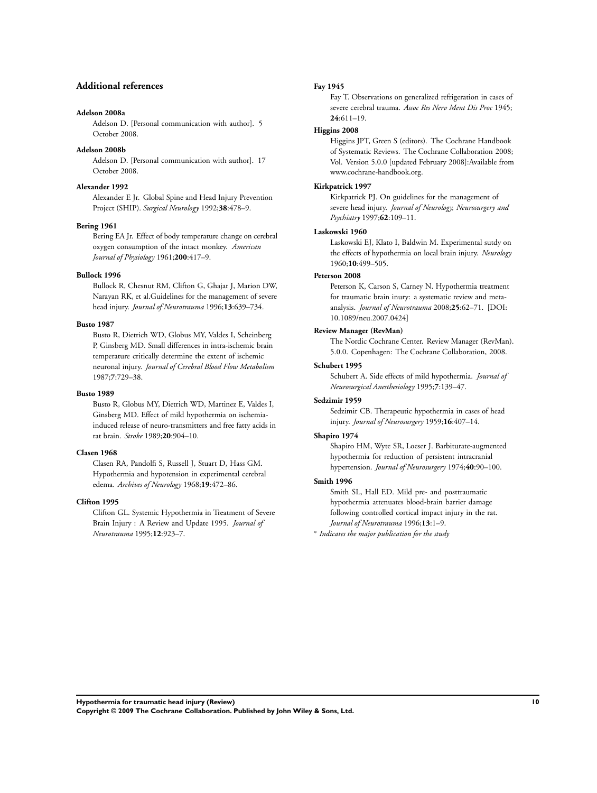## **Additional references**

#### **Adelson 2008a**

Adelson D. [Personal communication with author]. 5 October 2008.

#### **Adelson 2008b**

Adelson D. [Personal communication with author]. 17 October 2008.

#### **Alexander 1992**

Alexander E Jr. Global Spine and Head Injury Prevention Project (SHIP). *Surgical Neurology* 1992;**38**:478–9.

#### **Bering 1961**

Bering EA Jr. Effect of body temperature change on cerebral oxygen consumption of the intact monkey. *American Journal of Physiology* 1961;**200**:417–9.

#### **Bullock 1996**

Bullock R, Chesnut RM, Clifton G, Ghajar J, Marion DW, Narayan RK, et al.Guidelines for the management of severe head injury. *Journal of Neurotrauma* 1996;**13**:639–734.

#### **Busto 1987**

Busto R, Dietrich WD, Globus MY, Valdes I, Scheinberg P, Ginsberg MD. Small differences in intra-ischemic brain temperature critically determine the extent of ischemic neuronal injury. *Journal of Cerebral Blood Flow Metabolism* 1987;**7**:729–38.

#### **Busto 1989**

Busto R, Globus MY, Dietrich WD, Martinez E, Valdes I, Ginsberg MD. Effect of mild hypothermia on ischemiainduced release of neuro-transmitters and free fatty acids in rat brain. *Stroke* 1989;**20**:904–10.

#### **Clasen 1968**

Clasen RA, Pandolfi S, Russell J, Stuart D, Hass GM. Hypothermia and hypotension in experimental cerebral edema. *Archives of Neurology* 1968;**19**:472–86.

#### **Clifton 1995**

Clifton GL. Systemic Hypothermia in Treatment of Severe Brain Injury : A Review and Update 1995. *Journal of Neurotrauma* 1995;**12**:923–7.

#### **Fay 1945**

Fay T. Observations on generalized refrigeration in cases of severe cerebral trauma. *Assoc Res Nerv Ment Dis Proc* 1945; **24**:611–19.

## **Higgins 2008**

Higgins JPT, Green S (editors). The Cochrane Handbook of Systematic Reviews. The Cochrane Collaboration 2008; Vol. Version 5.0.0 [updated February 2008]:Available from www.cochrane-handbook.org.

#### **Kirkpatrick 1997**

Kirkpatrick PJ. On guidelines for the management of severe head injury. *Journal of Neurology, Neurosurgery and Psychiatry* 1997;**62**:109–11.

#### **Laskowski 1960**

Laskowski EJ, Klato I, Baldwin M. Experimental sutdy on the effects of hypothermia on local brain injury. *Neurology* 1960;**10**:499–505.

#### **Peterson 2008**

Peterson K, Carson S, Carney N. Hypothermia treatment for traumatic brain inury: a systematic review and metaanalysis. *Journal of Neurotrauma* 2008;**25**:62–71. [DOI: 10.1089/neu.2007.0424]

#### **Review Manager (RevMan)**

The Nordic Cochrane Center. Review Manager (RevMan). 5.0.0. Copenhagen: The Cochrane Collaboration, 2008.

#### **Schubert 1995**

Schubert A. Side effects of mild hypothermia. *Journal of Neurosurgical Anesthesiology* 1995;**7**:139–47.

#### **Sedzimir 1959**

Sedzimir CB. Therapeutic hypothermia in cases of head injury. *Journal of Neurosurgery* 1959;**16**:407–14.

#### **Shapiro 1974**

Shapiro HM, Wyte SR, Loeser J. Barbiturate-augmented hypothermia for reduction of persistent intracranial hypertension. *Journal of Neurosurgery* 1974;**40**:90–100.

#### **Smith 1996**

Smith SL, Hall ED. Mild pre- and posttraumatic hypothermia attenuates blood-brain barrier damage following controlled cortical impact injury in the rat. *Journal of Neurotrauma* 1996;**13**:1–9.

∗ *Indicates the major publication for the study*

**Hypothermia for traumatic head injury (Review) 10**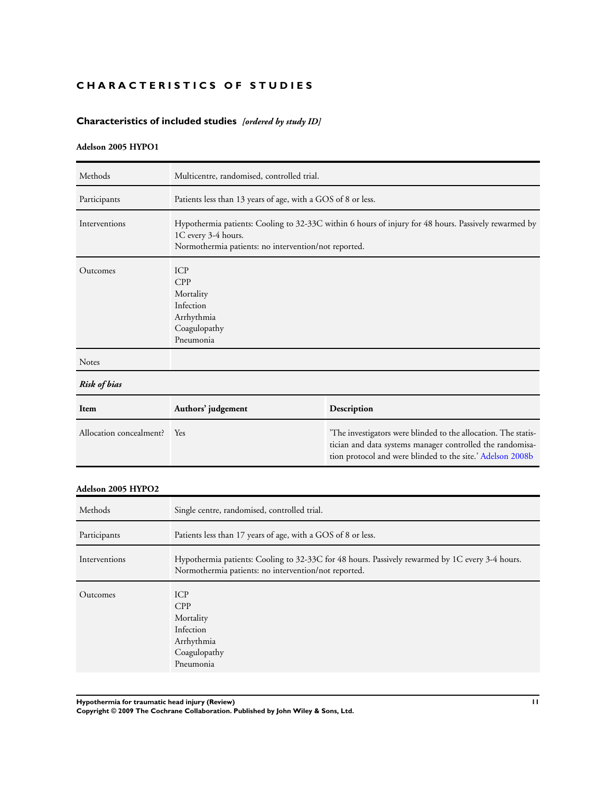## <span id="page-12-0"></span>**CHARACTERISTICS OF STUDIES**

## **Characteristics of included studies** *[ordered by study ID]*

## **Adelson 2005 HYPO1**

| Methods                 | Multicentre, randomised, controlled trial.                                                                                                                                          |                                                                                                                                                                                           |
|-------------------------|-------------------------------------------------------------------------------------------------------------------------------------------------------------------------------------|-------------------------------------------------------------------------------------------------------------------------------------------------------------------------------------------|
| Participants            | Patients less than 13 years of age, with a GOS of 8 or less.                                                                                                                        |                                                                                                                                                                                           |
| Interventions           | Hypothermia patients: Cooling to 32-33C within 6 hours of injury for 48 hours. Passively rewarmed by<br>1C every 3-4 hours.<br>Normothermia patients: no intervention/not reported. |                                                                                                                                                                                           |
| Outcomes                | <b>ICP</b><br><b>CPP</b><br>Mortality<br>Infection<br>Arrhythmia<br>Coagulopathy<br>Pneumonia                                                                                       |                                                                                                                                                                                           |
| Notes                   |                                                                                                                                                                                     |                                                                                                                                                                                           |
| <b>Risk of bias</b>     |                                                                                                                                                                                     |                                                                                                                                                                                           |
| Item                    | Authors' judgement                                                                                                                                                                  | Description                                                                                                                                                                               |
| Allocation concealment? | Yes                                                                                                                                                                                 | 'The investigators were blinded to the allocation. The statis-<br>tician and data systems manager controlled the randomisa-<br>tion protocol and were blinded to the site.' Adelson 2008b |

#### **Adelson 2005 HYPO2**

| Methods       | Single centre, randomised, controlled trial.                                                                                                            |
|---------------|---------------------------------------------------------------------------------------------------------------------------------------------------------|
| Participants  | Patients less than 17 years of age, with a GOS of 8 or less.                                                                                            |
| Interventions | Hypothermia patients: Cooling to 32-33C for 48 hours. Passively rewarmed by 1C every 3-4 hours.<br>Normothermia patients: no intervention/not reported. |
| Outcomes      | <b>ICP</b><br>CPP<br>Mortality<br>Infection<br>Arrhythmia<br>Coagulopathy<br>Pneumonia                                                                  |

**Hypothermia for traumatic head injury (Review) 11**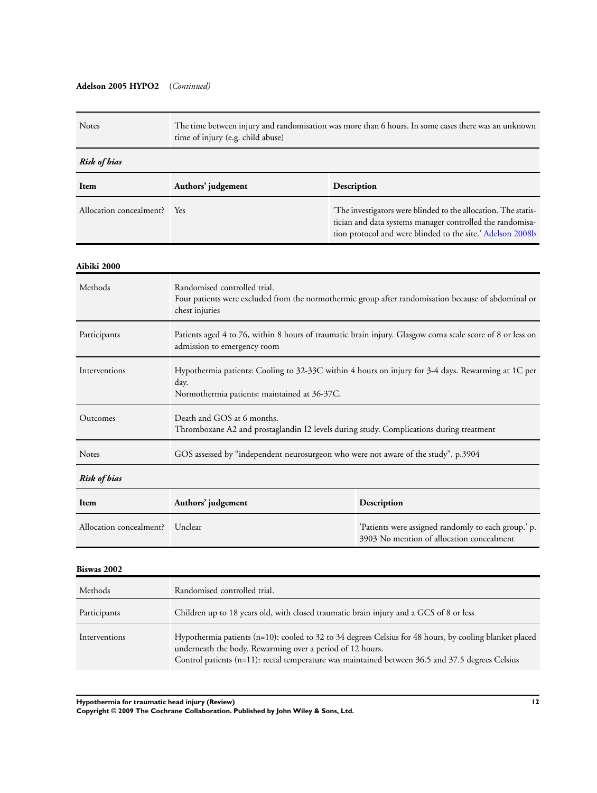## **Adelson 2005 HYPO2** (*Continued)*

| Notes                   | The time between injury and randomisation was more than 6 hours. In some cases there was an unknown<br>time of injury (e.g. child abuse)                                                                                                                                 |                                                                                                                                                                                          |  |
|-------------------------|--------------------------------------------------------------------------------------------------------------------------------------------------------------------------------------------------------------------------------------------------------------------------|------------------------------------------------------------------------------------------------------------------------------------------------------------------------------------------|--|
| <b>Risk of bias</b>     |                                                                                                                                                                                                                                                                          |                                                                                                                                                                                          |  |
| Item                    | Authors' judgement                                                                                                                                                                                                                                                       | Description                                                                                                                                                                              |  |
| Allocation concealment? | Yes                                                                                                                                                                                                                                                                      | The investigators were blinded to the allocation. The statis-<br>tician and data systems manager controlled the randomisa-<br>tion protocol and were blinded to the site.' Adelson 2008b |  |
| Aibiki 2000             |                                                                                                                                                                                                                                                                          |                                                                                                                                                                                          |  |
| Methods                 | Randomised controlled trial.<br>chest injuries                                                                                                                                                                                                                           | Four patients were excluded from the normothermic group after randomisation because of abdominal or                                                                                      |  |
| Participants            | Patients aged 4 to 76, within 8 hours of traumatic brain injury. Glasgow coma scale score of 8 or less on<br>admission to emergency room                                                                                                                                 |                                                                                                                                                                                          |  |
| Interventions           | Hypothermia patients: Cooling to 32-33C within 4 hours on injury for 3-4 days. Rewarming at 1C per<br>day.<br>Normothermia patients: maintained at 36-37C.                                                                                                               |                                                                                                                                                                                          |  |
| Outcomes                | Death and GOS at 6 months.<br>Thromboxane A2 and prostaglandin I2 levels during study. Complications during treatment                                                                                                                                                    |                                                                                                                                                                                          |  |
| Notes                   | GOS assessed by "independent neurosurgeon who were not aware of the study". p.3904                                                                                                                                                                                       |                                                                                                                                                                                          |  |
| <b>Risk of bias</b>     |                                                                                                                                                                                                                                                                          |                                                                                                                                                                                          |  |
| Item                    | Authors' judgement                                                                                                                                                                                                                                                       | Description                                                                                                                                                                              |  |
| Allocation concealment? | Unclear                                                                                                                                                                                                                                                                  | 'Patients were assigned randomly to each group.' p.<br>3903 No mention of allocation concealment                                                                                         |  |
| Biswas 2002             |                                                                                                                                                                                                                                                                          |                                                                                                                                                                                          |  |
| Methods                 | Randomised controlled trial.                                                                                                                                                                                                                                             |                                                                                                                                                                                          |  |
| Participants            | Children up to 18 years old, with closed traumatic brain injury and a GCS of 8 or less                                                                                                                                                                                   |                                                                                                                                                                                          |  |
| Interventions           | Hypothermia patients (n=10): cooled to 32 to 34 degrees Celsius for 48 hours, by cooling blanket placed<br>underneath the body. Rewarming over a period of 12 hours.<br>Control patients (n=11): rectal temperature was maintained between 36.5 and 37.5 degrees Celsius |                                                                                                                                                                                          |  |

**Hypothermia for traumatic head injury (Review) 12**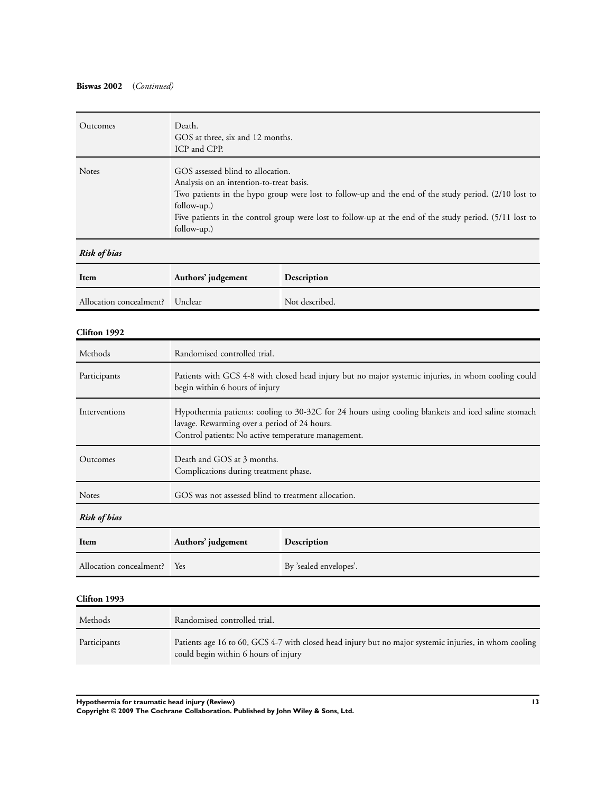## **Biswas 2002** (*Continued)*

| Outcomes                | Death.<br>GOS at three, six and 12 months.<br>ICP and CPP.                                                                                                                                                                                                                                                                     |                        |
|-------------------------|--------------------------------------------------------------------------------------------------------------------------------------------------------------------------------------------------------------------------------------------------------------------------------------------------------------------------------|------------------------|
| Notes                   | GOS assessed blind to allocation.<br>Analysis on an intention-to-treat basis.<br>Two patients in the hypo group were lost to follow-up and the end of the study period. (2/10 lost to<br>follow-up.)<br>Five patients in the control group were lost to follow-up at the end of the study period. (5/11 lost to<br>follow-up.) |                        |
| Risk of bias            |                                                                                                                                                                                                                                                                                                                                |                        |
| Item                    | Authors' judgement                                                                                                                                                                                                                                                                                                             | Description            |
| Allocation concealment? | Unclear                                                                                                                                                                                                                                                                                                                        | Not described.         |
| Clifton 1992            |                                                                                                                                                                                                                                                                                                                                |                        |
| Methods                 | Randomised controlled trial.                                                                                                                                                                                                                                                                                                   |                        |
| Participants            | Patients with GCS 4-8 with closed head injury but no major systemic injuries, in whom cooling could<br>begin within 6 hours of injury                                                                                                                                                                                          |                        |
| Interventions           | Hypothermia patients: cooling to 30-32C for 24 hours using cooling blankets and iced saline stomach<br>lavage. Rewarming over a period of 24 hours.<br>Control patients: No active temperature management.                                                                                                                     |                        |
| Outcomes                | Death and GOS at 3 months.<br>Complications during treatment phase.                                                                                                                                                                                                                                                            |                        |
| Notes                   | GOS was not assessed blind to treatment allocation.                                                                                                                                                                                                                                                                            |                        |
| <b>Risk of bias</b>     |                                                                                                                                                                                                                                                                                                                                |                        |
| Item                    | Authors' judgement<br>Description                                                                                                                                                                                                                                                                                              |                        |
| Allocation concealment? | Yes                                                                                                                                                                                                                                                                                                                            | By 'sealed envelopes'. |
| Clifton 1993            |                                                                                                                                                                                                                                                                                                                                |                        |
| Methods                 | Randomised controlled trial.                                                                                                                                                                                                                                                                                                   |                        |
| Participants            | Patients age 16 to 60, GCS 4-7 with closed head injury but no major systemic injuries, in whom cooling<br>could begin within 6 hours of injury                                                                                                                                                                                 |                        |

**Hypothermia for traumatic head injury (Review) 13**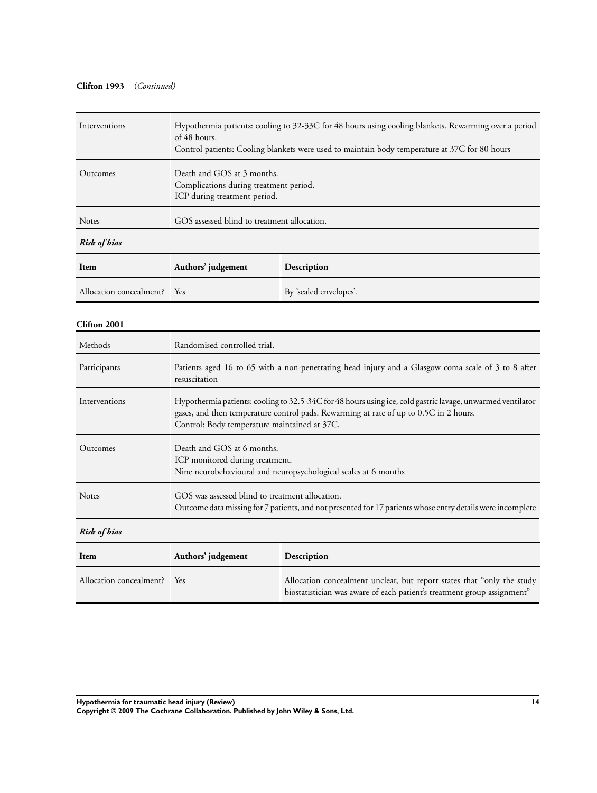## **Clifton 1993** (*Continued)*

| Interventions           | Hypothermia patients: cooling to 32-33C for 48 hours using cooling blankets. Rewarming over a period<br>of 48 hours.<br>Control patients: Cooling blankets were used to maintain body temperature at 37C for 80 hours                               |                                                                                                                                                   |
|-------------------------|-----------------------------------------------------------------------------------------------------------------------------------------------------------------------------------------------------------------------------------------------------|---------------------------------------------------------------------------------------------------------------------------------------------------|
| Outcomes                | Death and GOS at 3 months.<br>Complications during treatment period.<br>ICP during treatment period.                                                                                                                                                |                                                                                                                                                   |
| Notes                   | GOS assessed blind to treatment allocation.                                                                                                                                                                                                         |                                                                                                                                                   |
| <b>Risk of bias</b>     |                                                                                                                                                                                                                                                     |                                                                                                                                                   |
| Item                    | Authors' judgement                                                                                                                                                                                                                                  | Description                                                                                                                                       |
| Allocation concealment? | Yes                                                                                                                                                                                                                                                 | By 'sealed envelopes'.                                                                                                                            |
| Clifton 2001            |                                                                                                                                                                                                                                                     |                                                                                                                                                   |
| Methods                 | Randomised controlled trial.                                                                                                                                                                                                                        |                                                                                                                                                   |
| Participants            | Patients aged 16 to 65 with a non-penetrating head injury and a Glasgow coma scale of 3 to 8 after<br>resuscitation                                                                                                                                 |                                                                                                                                                   |
| Interventions           | Hypothermia patients: cooling to 32.5-34C for 48 hours using ice, cold gastric lavage, unwarmed ventilator<br>gases, and then temperature control pads. Rewarming at rate of up to 0.5C in 2 hours.<br>Control: Body temperature maintained at 37C. |                                                                                                                                                   |
| Outcomes                | Death and GOS at 6 months.<br>ICP monitored during treatment.<br>Nine neurobehavioural and neuropsychological scales at 6 months                                                                                                                    |                                                                                                                                                   |
| Notes                   | GOS was assessed blind to treatment allocation.<br>Outcome data missing for 7 patients, and not presented for 17 patients whose entry details were incomplete                                                                                       |                                                                                                                                                   |
| <b>Risk of bias</b>     |                                                                                                                                                                                                                                                     |                                                                                                                                                   |
| Item                    | Authors' judgement                                                                                                                                                                                                                                  | Description                                                                                                                                       |
| Allocation concealment? | Yes                                                                                                                                                                                                                                                 | Allocation concealment unclear, but report states that "only the study<br>biostatistician was aware of each patient's treatment group assignment" |

**Hypothermia for traumatic head injury (Review) 14**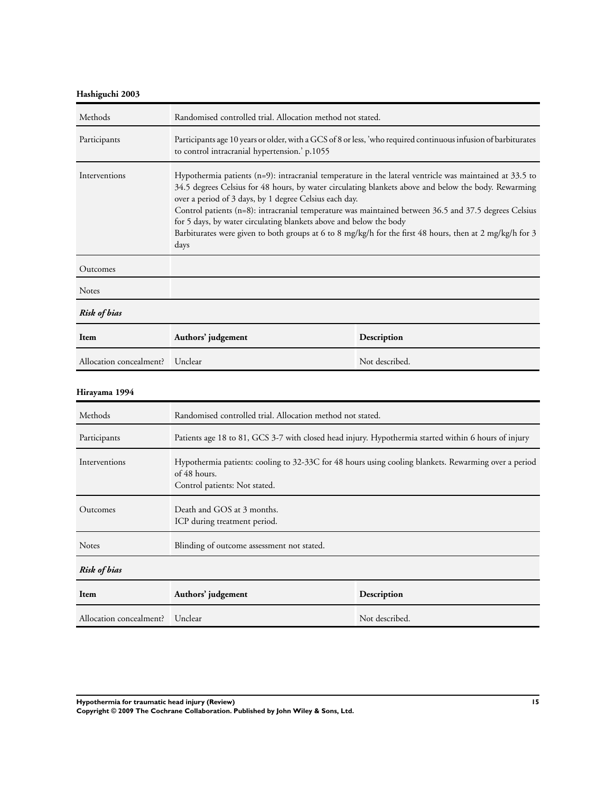## **Hashiguchi 2003**

| Methods                 | Randomised controlled trial. Allocation method not stated.                                                                                                                                                                                                                                                                                                                                                                                                                                                                                                                      |                                                                                                                |
|-------------------------|---------------------------------------------------------------------------------------------------------------------------------------------------------------------------------------------------------------------------------------------------------------------------------------------------------------------------------------------------------------------------------------------------------------------------------------------------------------------------------------------------------------------------------------------------------------------------------|----------------------------------------------------------------------------------------------------------------|
| Participants            | to control intracranial hypertension.' p.1055                                                                                                                                                                                                                                                                                                                                                                                                                                                                                                                                   | Participants age 10 years or older, with a GCS of 8 or less, 'who required continuous infusion of barbiturates |
| Interventions           | Hypothermia patients $(n=9)$ : intracranial temperature in the lateral ventricle was maintained at 33.5 to<br>34.5 degrees Celsius for 48 hours, by water circulating blankets above and below the body. Rewarming<br>over a period of 3 days, by 1 degree Celsius each day.<br>Control patients (n=8): intracranial temperature was maintained between 36.5 and 37.5 degrees Celsius<br>for 5 days, by water circulating blankets above and below the body<br>Barbiturates were given to both groups at 6 to 8 mg/kg/h for the first 48 hours, then at 2 mg/kg/h for 3<br>days |                                                                                                                |
| Outcomes                |                                                                                                                                                                                                                                                                                                                                                                                                                                                                                                                                                                                 |                                                                                                                |
| <b>Notes</b>            |                                                                                                                                                                                                                                                                                                                                                                                                                                                                                                                                                                                 |                                                                                                                |
| <b>Risk of bias</b>     |                                                                                                                                                                                                                                                                                                                                                                                                                                                                                                                                                                                 |                                                                                                                |
| Item                    | Authors' judgement                                                                                                                                                                                                                                                                                                                                                                                                                                                                                                                                                              | Description                                                                                                    |
| Allocation concealment? | Unclear                                                                                                                                                                                                                                                                                                                                                                                                                                                                                                                                                                         | Not described.                                                                                                 |
| Hirayama 1994           |                                                                                                                                                                                                                                                                                                                                                                                                                                                                                                                                                                                 |                                                                                                                |
| Methods                 | Randomised controlled trial. Allocation method not stated.                                                                                                                                                                                                                                                                                                                                                                                                                                                                                                                      |                                                                                                                |
| $D$ orticinante         | $Dat is a constant 2 + 8 and 2 + 6 = 81.$                                                                                                                                                                                                                                                                                                                                                                                                                                                                                                                                       |                                                                                                                |

| Participants            | Patients age 18 to 81, GCS 3-7 with closed head injury. Hypothermia started within 6 hours of injury                                                  |                |
|-------------------------|-------------------------------------------------------------------------------------------------------------------------------------------------------|----------------|
| Interventions           | Hypothermia patients: cooling to 32-33C for 48 hours using cooling blankets. Rewarming over a period<br>of 48 hours.<br>Control patients: Not stated. |                |
| Outcomes                | Death and GOS at 3 months.<br>ICP during treatment period.                                                                                            |                |
| <b>Notes</b>            | Blinding of outcome assessment not stated.                                                                                                            |                |
| <b>Risk of bias</b>     |                                                                                                                                                       |                |
| Item                    | Authors' judgement<br>Description                                                                                                                     |                |
| Allocation concealment? | Unclear                                                                                                                                               | Not described. |

**Hypothermia for traumatic head injury (Review) 15**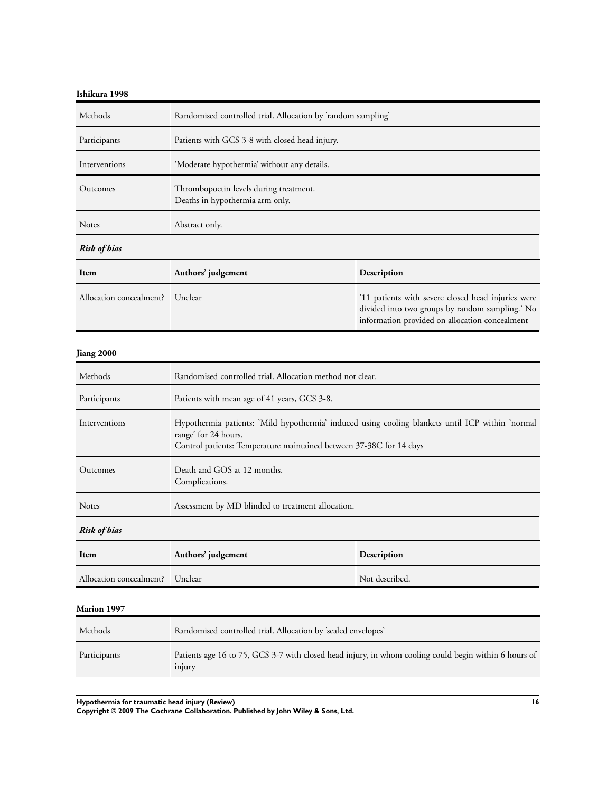## **Ishikura 1998**

| Methods                 | Randomised controlled trial. Allocation by 'random sampling'              |                                                                                                                                                         |
|-------------------------|---------------------------------------------------------------------------|---------------------------------------------------------------------------------------------------------------------------------------------------------|
| Participants            | Patients with GCS 3-8 with closed head injury.                            |                                                                                                                                                         |
| Interventions           | 'Moderate hypothermia' without any details.                               |                                                                                                                                                         |
| Outcomes                | Thrombopoetin levels during treatment.<br>Deaths in hypothermia arm only. |                                                                                                                                                         |
| <b>Notes</b>            | Abstract only.                                                            |                                                                                                                                                         |
| Risk of bias            |                                                                           |                                                                                                                                                         |
| Item                    | Authors' judgement                                                        | Description                                                                                                                                             |
| Allocation concealment? | Unclear                                                                   | '11 patients with severe closed head injuries were<br>divided into two groups by random sampling.' No<br>information provided on allocation concealment |

## **Jiang 2000**

| Methods                 | Randomised controlled trial. Allocation method not clear.                                                                                                                                       |                |
|-------------------------|-------------------------------------------------------------------------------------------------------------------------------------------------------------------------------------------------|----------------|
| Participants            | Patients with mean age of 41 years, GCS 3-8.                                                                                                                                                    |                |
| Interventions           | Hypothermia patients: 'Mild hypothermia' induced using cooling blankets until ICP within 'normal<br>range' for 24 hours.<br>Control patients: Temperature maintained between 37-38C for 14 days |                |
| Outcomes                | Death and GOS at 12 months.<br>Complications.                                                                                                                                                   |                |
| <b>Notes</b>            | Assessment by MD blinded to treatment allocation.                                                                                                                                               |                |
| <b>Risk of bias</b>     |                                                                                                                                                                                                 |                |
| Item                    | Authors' judgement                                                                                                                                                                              | Description    |
| Allocation concealment? | Unclear                                                                                                                                                                                         | Not described. |
| Marion 1997             |                                                                                                                                                                                                 |                |

| Methods      | Randomised controlled trial. Allocation by 'sealed envelopes'                                                   |
|--------------|-----------------------------------------------------------------------------------------------------------------|
| Participants | Patients age 16 to 75, GCS 3-7 with closed head injury, in whom cooling could begin within 6 hours of<br>injury |

**Hypothermia for traumatic head injury (Review) 16**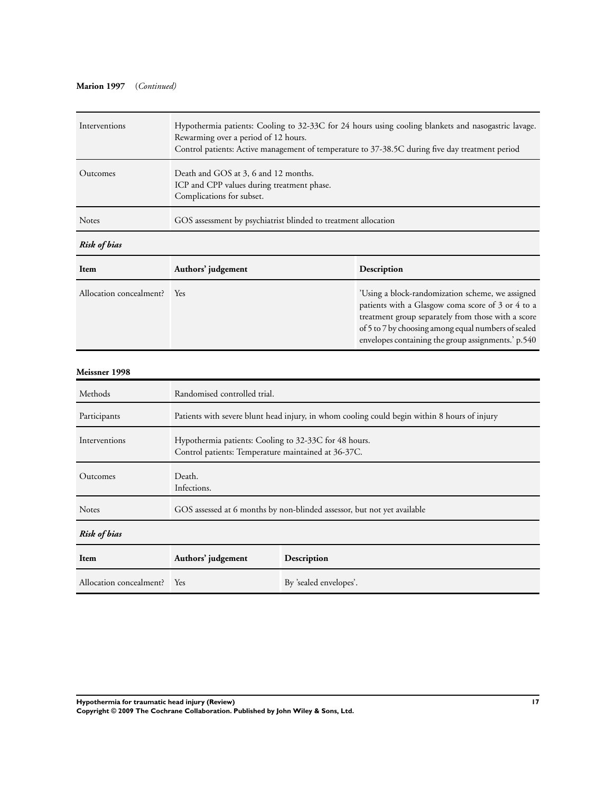## **Marion 1997** (*Continued)*

| Interventions | Hypothermia patients: Cooling to 32-33C for 24 hours using cooling blankets and nasogastric lavage.<br>Rewarming over a period of 12 hours.<br>Control patients: Active management of temperature to 37-38.5C during five day treatment period |
|---------------|------------------------------------------------------------------------------------------------------------------------------------------------------------------------------------------------------------------------------------------------|
| Outcomes      | Death and GOS at 3, 6 and 12 months.<br>ICP and CPP values during treatment phase.<br>Complications for subset.                                                                                                                                |
| <b>Notes</b>  | GOS assessment by psychiatrist blinded to treatment allocation                                                                                                                                                                                 |
| Risk of bias  |                                                                                                                                                                                                                                                |

| Item                        | Authors' judgement | Description                                                                                                                                                                                                                                                              |
|-----------------------------|--------------------|--------------------------------------------------------------------------------------------------------------------------------------------------------------------------------------------------------------------------------------------------------------------------|
| Allocation concealment? Yes |                    | 'Using a block-randomization scheme, we assigned<br>patients with a Glasgow coma score of 3 or 4 to a<br>treatment group separately from those with a score<br>of 5 to 7 by choosing among equal numbers of sealed<br>envelopes containing the group assignments.' p.540 |

## **Meissner 1998**

| Methods                     | Randomised controlled trial.                                                                                 |                        |
|-----------------------------|--------------------------------------------------------------------------------------------------------------|------------------------|
| Participants                | Patients with severe blunt head injury, in whom cooling could begin within 8 hours of injury                 |                        |
| Interventions               | Hypothermia patients: Cooling to 32-33C for 48 hours.<br>Control patients: Temperature maintained at 36-37C. |                        |
| Outcomes                    | Death.<br>Infections.                                                                                        |                        |
| <b>Notes</b>                | GOS assessed at 6 months by non-blinded assessor, but not yet available                                      |                        |
| <b>Risk of bias</b>         |                                                                                                              |                        |
| Item                        | Authors' judgement                                                                                           | Description            |
| Allocation concealment? Yes |                                                                                                              | By 'sealed envelopes'. |

**Hypothermia for traumatic head injury (Review) 17**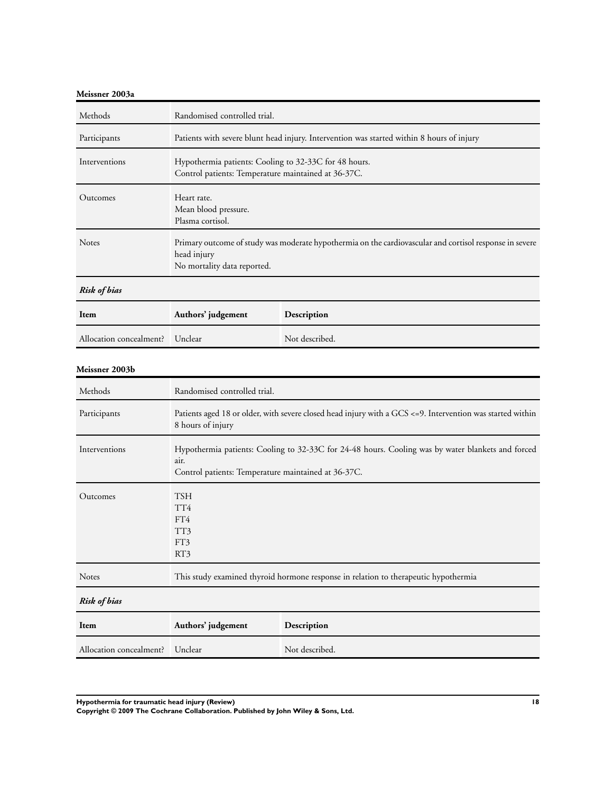## **Meissner 2003a**

| Methods                 | Randomised controlled trial.                                                                                                                                     |                |
|-------------------------|------------------------------------------------------------------------------------------------------------------------------------------------------------------|----------------|
| Participants            | Patients with severe blunt head injury. Intervention was started within 8 hours of injury                                                                        |                |
| Interventions           | Hypothermia patients: Cooling to 32-33C for 48 hours.<br>Control patients: Temperature maintained at 36-37C.                                                     |                |
| Outcomes                | Heart rate.<br>Mean blood pressure.<br>Plasma cortisol.                                                                                                          |                |
| Notes                   | Primary outcome of study was moderate hypothermia on the cardiovascular and cortisol response in severe<br>head injury<br>No mortality data reported.            |                |
| <b>Risk of bias</b>     |                                                                                                                                                                  |                |
| Item                    | Authors' judgement                                                                                                                                               | Description    |
| Allocation concealment? | Unclear                                                                                                                                                          | Not described. |
| Meissner 2003b          |                                                                                                                                                                  |                |
| Methods                 | Randomised controlled trial.                                                                                                                                     |                |
| Participants            | Patients aged 18 or older, with severe closed head injury with a GCS <= 9. Intervention was started within<br>8 hours of injury                                  |                |
| Interventions           | Hypothermia patients: Cooling to 32-33C for 24-48 hours. Cooling was by water blankets and forced<br>air.<br>Control patients: Temperature maintained at 36-37C. |                |
| Outcomes                | <b>TSH</b><br>TT4<br>FT4<br>TT3<br>FT3<br>RT3                                                                                                                    |                |
| Notes                   | This study examined thyroid hormone response in relation to therapeutic hypothermia                                                                              |                |
| <b>Risk of bias</b>     |                                                                                                                                                                  |                |
| Item                    | Authors' judgement<br>Description                                                                                                                                |                |
| Allocation concealment? | Unclear                                                                                                                                                          | Not described. |

**Hypothermia for traumatic head injury (Review) 18**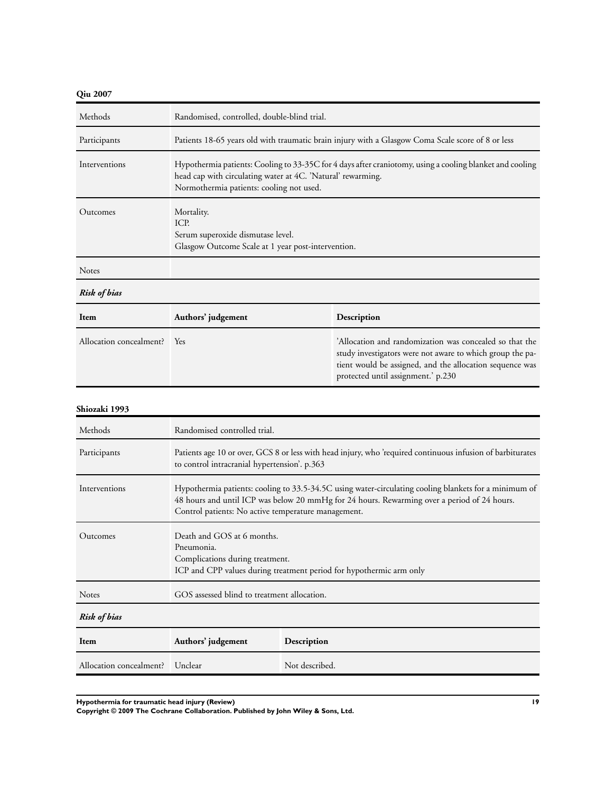## **Qiu 2007**

| Methods                 | Randomised, controlled, double-blind trial.                                                                                                                                                                         |                                                                                                                                                                                                                        |
|-------------------------|---------------------------------------------------------------------------------------------------------------------------------------------------------------------------------------------------------------------|------------------------------------------------------------------------------------------------------------------------------------------------------------------------------------------------------------------------|
| Participants            | Patients 18-65 years old with traumatic brain injury with a Glasgow Coma Scale score of 8 or less                                                                                                                   |                                                                                                                                                                                                                        |
| Interventions           | Hypothermia patients: Cooling to 33-35C for 4 days after craniotomy, using a cooling blanket and cooling<br>head cap with circulating water at 4C. 'Natural' rewarming.<br>Normothermia patients: cooling not used. |                                                                                                                                                                                                                        |
| Outcomes                | Mortality.<br>ICP.<br>Serum superoxide dismutase level.<br>Glasgow Outcome Scale at 1 year post-intervention.                                                                                                       |                                                                                                                                                                                                                        |
| <b>Notes</b>            |                                                                                                                                                                                                                     |                                                                                                                                                                                                                        |
| <b>Risk of bias</b>     |                                                                                                                                                                                                                     |                                                                                                                                                                                                                        |
| Item                    | Authors' judgement                                                                                                                                                                                                  | Description                                                                                                                                                                                                            |
| Allocation concealment? | Yes                                                                                                                                                                                                                 | 'Allocation and randomization was concealed so that the<br>study investigators were not aware to which group the pa-<br>tient would be assigned, and the allocation sequence was<br>protected until assignment.' p.230 |

#### **Shiozaki 1993**

| Methods                 | Randomised controlled trial.                                                                                                                                                                                                                                |                |
|-------------------------|-------------------------------------------------------------------------------------------------------------------------------------------------------------------------------------------------------------------------------------------------------------|----------------|
| Participants            | Patients age 10 or over, GCS 8 or less with head injury, who 'required continuous infusion of barbiturates<br>to control intracranial hypertension'. p.363                                                                                                  |                |
| Interventions           | Hypothermia patients: cooling to 33.5-34.5C using water-circulating cooling blankets for a minimum of<br>48 hours and until ICP was below 20 mmHg for 24 hours. Rewarming over a period of 24 hours.<br>Control patients: No active temperature management. |                |
| Outcomes                | Death and GOS at 6 months.<br>Pneumonia.<br>Complications during treatment.<br>ICP and CPP values during treatment period for hypothermic arm only                                                                                                          |                |
| <b>Notes</b>            | GOS assessed blind to treatment allocation.                                                                                                                                                                                                                 |                |
| <b>Risk of bias</b>     |                                                                                                                                                                                                                                                             |                |
| Item                    | Authors' judgement                                                                                                                                                                                                                                          | Description    |
| Allocation concealment? | Unclear                                                                                                                                                                                                                                                     | Not described. |

**Hypothermia for traumatic head injury (Review) 19**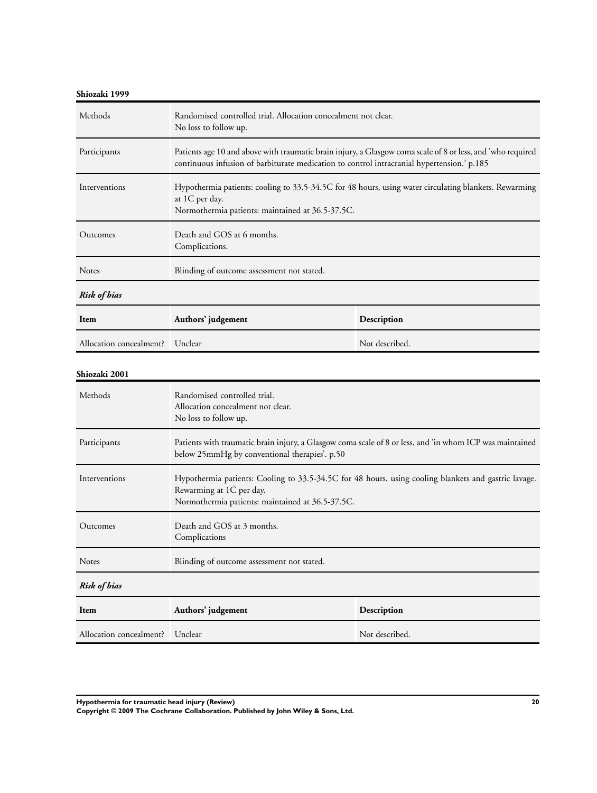| Shiozaki 1999           |                                                                                                                                                                                                           |                                                                                                          |  |
|-------------------------|-----------------------------------------------------------------------------------------------------------------------------------------------------------------------------------------------------------|----------------------------------------------------------------------------------------------------------|--|
| Methods                 | Randomised controlled trial. Allocation concealment not clear.<br>No loss to follow up.                                                                                                                   |                                                                                                          |  |
| Participants            | Patients age 10 and above with traumatic brain injury, a Glasgow coma scale of 8 or less, and 'who required<br>continuous infusion of barbiturate medication to control intracranial hypertension.' p.185 |                                                                                                          |  |
| Interventions           | Hypothermia patients: cooling to 33.5-34.5C for 48 hours, using water circulating blankets. Rewarming<br>at 1C per day.<br>Normothermia patients: maintained at 36.5-37.5C.                               |                                                                                                          |  |
| Outcomes                | Death and GOS at 6 months.<br>Complications.                                                                                                                                                              |                                                                                                          |  |
| <b>Notes</b>            | Blinding of outcome assessment not stated.                                                                                                                                                                |                                                                                                          |  |
| <b>Risk of bias</b>     |                                                                                                                                                                                                           |                                                                                                          |  |
| Item                    | Authors' judgement                                                                                                                                                                                        | Description                                                                                              |  |
| Allocation concealment? | Unclear                                                                                                                                                                                                   | Not described.                                                                                           |  |
| Shiozaki 2001           |                                                                                                                                                                                                           |                                                                                                          |  |
| Methods                 | Randomised controlled trial.<br>Allocation concealment not clear.<br>No loss to follow up.                                                                                                                |                                                                                                          |  |
| Participants            | below 25mmHg by conventional therapies'. p.50                                                                                                                                                             | Patients with traumatic brain injury, a Glasgow coma scale of 8 or less, and 'in whom ICP was maintained |  |
| Interventions           | Hypothermia patients: Cooling to 33.5-34.5C for 48 hours, using cooling blankets and gastric lavage.<br>Rewarming at 1C per day.<br>Normothermia patients: maintained at 36.5-37.5C.                      |                                                                                                          |  |
| Outcomes                | Death and GOS at 3 months.<br>Complications                                                                                                                                                               |                                                                                                          |  |
| Notes                   | Blinding of outcome assessment not stated.                                                                                                                                                                |                                                                                                          |  |
| <b>Risk of bias</b>     |                                                                                                                                                                                                           |                                                                                                          |  |
| Item                    | Authors' judgement                                                                                                                                                                                        | Description                                                                                              |  |
| Allocation concealment? | Unclear                                                                                                                                                                                                   | Not described.                                                                                           |  |

**Hypothermia for traumatic head injury (Review) 20**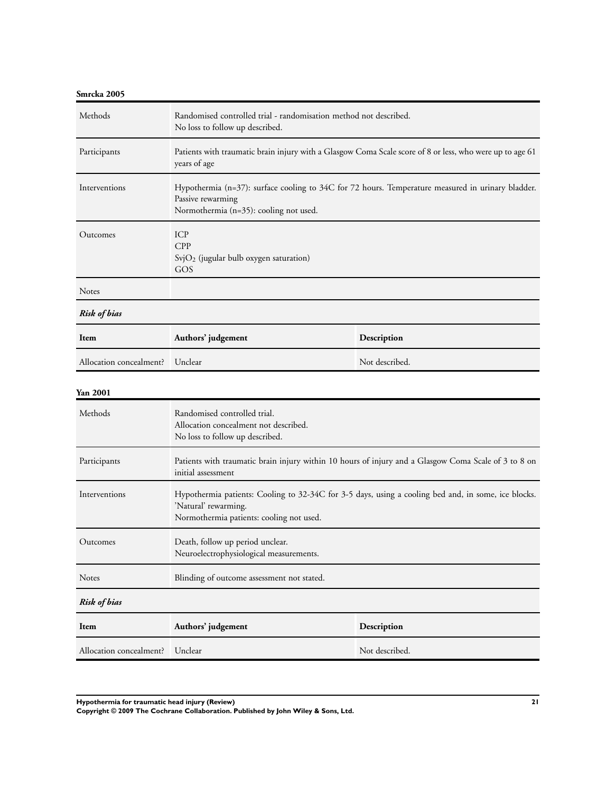| Smrcka 2005             |                                                                                                                                                                  |                                                                                                      |
|-------------------------|------------------------------------------------------------------------------------------------------------------------------------------------------------------|------------------------------------------------------------------------------------------------------|
| Methods                 | Randomised controlled trial - randomisation method not described.<br>No loss to follow up described.                                                             |                                                                                                      |
| Participants            | Patients with traumatic brain injury with a Glasgow Coma Scale score of 8 or less, who were up to age 61<br>years of age                                         |                                                                                                      |
| Interventions           | Hypothermia (n=37): surface cooling to 34C for 72 hours. Temperature measured in urinary bladder.<br>Passive rewarming<br>Normothermia (n=35): cooling not used. |                                                                                                      |
| Outcomes                | ICP<br>CPP<br>$SvjO2$ (jugular bulb oxygen saturation)<br>GOS                                                                                                    |                                                                                                      |
| <b>Notes</b>            |                                                                                                                                                                  |                                                                                                      |
| <b>Risk of bias</b>     |                                                                                                                                                                  |                                                                                                      |
| Item                    | Authors' judgement                                                                                                                                               | Description                                                                                          |
| Allocation concealment? | Unclear                                                                                                                                                          | Not described.                                                                                       |
| Yan 2001                |                                                                                                                                                                  |                                                                                                      |
| Methods                 | Randomised controlled trial.<br>Allocation concealment not described.<br>No loss to follow up described.                                                         |                                                                                                      |
| Participants            | initial assessment                                                                                                                                               | Patients with traumatic brain injury within 10 hours of injury and a Glasgow Coma Scale of 3 to 8 on |
| Interventions           | 'Natural' rewarming.<br>Normothermia patients: cooling not used.                                                                                                 | Hypothermia patients: Cooling to 32-34C for 3-5 days, using a cooling bed and, in some, ice blocks.  |
| Outcomes                | Death, follow up period unclear.<br>Neuroelectrophysiological measurements.                                                                                      |                                                                                                      |
| Notes                   | Blinding of outcome assessment not stated.                                                                                                                       |                                                                                                      |
| <b>Risk of bias</b>     |                                                                                                                                                                  |                                                                                                      |
| Item                    | Authors' judgement                                                                                                                                               | Description                                                                                          |
| Allocation concealment? | Unclear                                                                                                                                                          | Not described.                                                                                       |

**Hypothermia for traumatic head injury (Review) 21**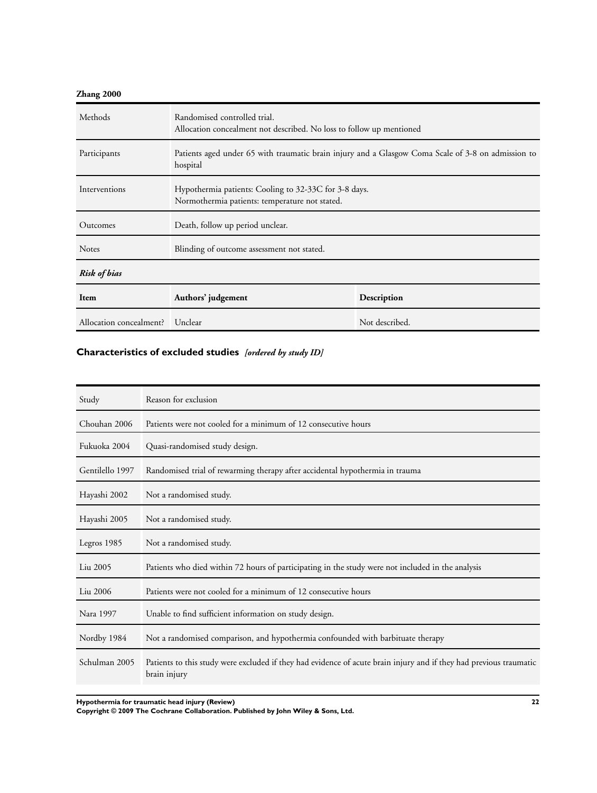## <span id="page-23-0"></span>**Zhang 2000**

| Methods                 | Randomised controlled trial.<br>Allocation concealment not described. No loss to follow up mentioned           |                |
|-------------------------|----------------------------------------------------------------------------------------------------------------|----------------|
| Participants            | Patients aged under 65 with traumatic brain injury and a Glasgow Coma Scale of 3-8 on admission to<br>hospital |                |
| Interventions           | Hypothermia patients: Cooling to 32-33C for 3-8 days.<br>Normothermia patients: temperature not stated.        |                |
| Outcomes                | Death, follow up period unclear.                                                                               |                |
| <b>Notes</b>            | Blinding of outcome assessment not stated.                                                                     |                |
| <b>Risk of bias</b>     |                                                                                                                |                |
| Item                    | Authors' judgement<br>Description                                                                              |                |
| Allocation concealment? | Unclear                                                                                                        | Not described. |

## **Characteristics of excluded studies** *[ordered by study ID]*

| Study           | Reason for exclusion                                                                                                               |
|-----------------|------------------------------------------------------------------------------------------------------------------------------------|
| Chouhan 2006    | Patients were not cooled for a minimum of 12 consecutive hours                                                                     |
| Fukuoka 2004    | Quasi-randomised study design.                                                                                                     |
| Gentilello 1997 | Randomised trial of rewarming therapy after accidental hypothermia in trauma                                                       |
| Hayashi 2002    | Not a randomised study.                                                                                                            |
| Hayashi 2005    | Not a randomised study.                                                                                                            |
| Legros 1985     | Not a randomised study.                                                                                                            |
| Liu 2005        | Patients who died within 72 hours of participating in the study were not included in the analysis                                  |
| Liu 2006        | Patients were not cooled for a minimum of 12 consecutive hours                                                                     |
| Nara 1997       | Unable to find sufficient information on study design.                                                                             |
| Nordby 1984     | Not a randomised comparison, and hypothermia confounded with barbituate therapy                                                    |
| Schulman 2005   | Patients to this study were excluded if they had evidence of acute brain injury and if they had previous traumatic<br>brain injury |

**Hypothermia for traumatic head injury (Review) 22**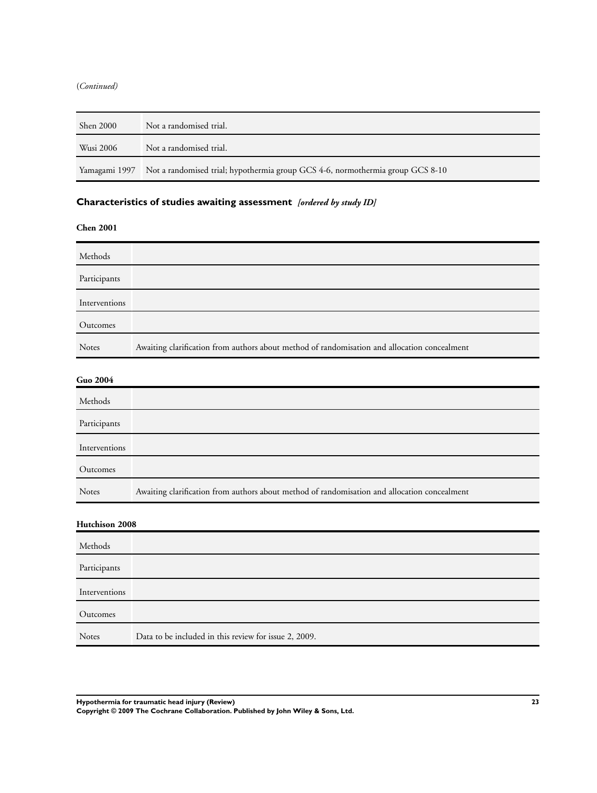#### <span id="page-24-0"></span>(*Continued)*

| <b>Shen 2000</b> | Not a randomised trial.                                                                      |
|------------------|----------------------------------------------------------------------------------------------|
| Wusi 2006        | Not a randomised trial.                                                                      |
|                  | Yamagami 1997 Not a randomised trial; hypothermia group GCS 4-6, normothermia group GCS 8-10 |

## **Characteristics of studies awaiting assessment** *[ordered by study ID]*

**Chen 2001**

| Methods       |                                                                                              |
|---------------|----------------------------------------------------------------------------------------------|
| Participants  |                                                                                              |
| Interventions |                                                                                              |
| Outcomes      |                                                                                              |
| Notes         | Awaiting clarification from authors about method of randomisation and allocation concealment |

## **Guo 2004**

| Methods       |                                                                                              |
|---------------|----------------------------------------------------------------------------------------------|
| Participants  |                                                                                              |
| Interventions |                                                                                              |
| Outcomes      |                                                                                              |
| <b>Notes</b>  | Awaiting clarification from authors about method of randomisation and allocation concealment |

## **Hutchison 2008**

| Methods       |                                                       |
|---------------|-------------------------------------------------------|
| Participants  |                                                       |
| Interventions |                                                       |
| Outcomes      |                                                       |
| <b>Notes</b>  | Data to be included in this review for issue 2, 2009. |

**Hypothermia for traumatic head injury (Review) 23**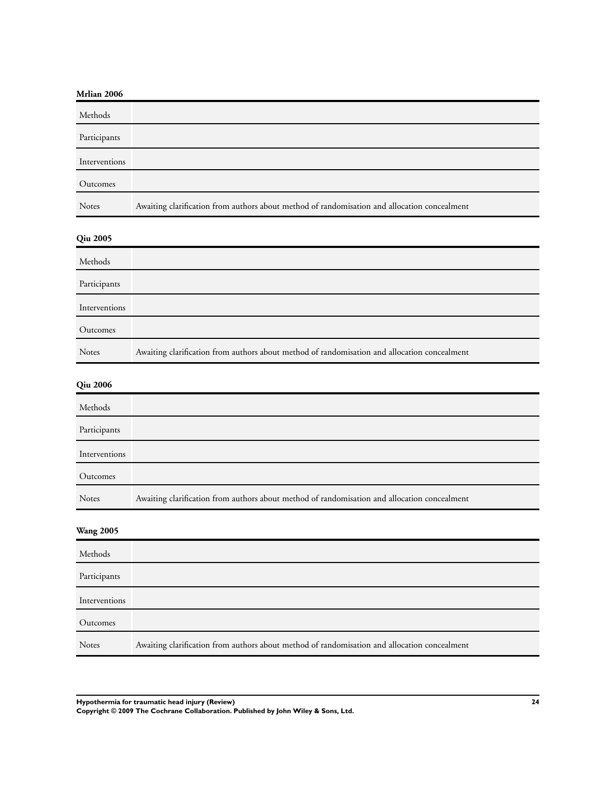## **Mrlian 2006**

| Methods       |                                                                                              |
|---------------|----------------------------------------------------------------------------------------------|
| Participants  |                                                                                              |
| Interventions |                                                                                              |
| Outcomes      |                                                                                              |
| <b>Notes</b>  | Awaiting clarification from authors about method of randomisation and allocation concealment |

## **Qiu 2005**

| Methods       |                                                                                              |
|---------------|----------------------------------------------------------------------------------------------|
| Participants  |                                                                                              |
| Interventions |                                                                                              |
| Outcomes      |                                                                                              |
| <b>Notes</b>  | Awaiting clarification from authors about method of randomisation and allocation concealment |

## **Qiu 2006**

| Methods       |                                                                                              |
|---------------|----------------------------------------------------------------------------------------------|
| Participants  |                                                                                              |
| Interventions |                                                                                              |
| Outcomes      |                                                                                              |
| <b>Notes</b>  | Awaiting clarification from authors about method of randomisation and allocation concealment |
|               |                                                                                              |

## **Wang 2005**

| Methods       |                                                                                              |
|---------------|----------------------------------------------------------------------------------------------|
| Participants  |                                                                                              |
| Interventions |                                                                                              |
| Outcomes      |                                                                                              |
| <b>Notes</b>  | Awaiting clarification from authors about method of randomisation and allocation concealment |

**Hypothermia for traumatic head injury (Review) 24**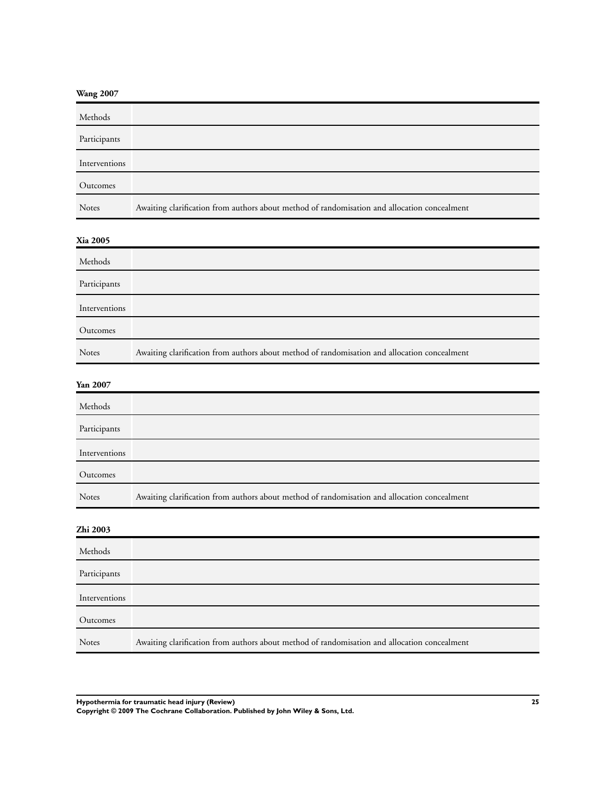|  | <b>Wang 2007</b> |  |
|--|------------------|--|
|--|------------------|--|

| Methods       |                                                                                              |
|---------------|----------------------------------------------------------------------------------------------|
| Participants  |                                                                                              |
| Interventions |                                                                                              |
| Outcomes      |                                                                                              |
| <b>Notes</b>  | Awaiting clarification from authors about method of randomisation and allocation concealment |

## **Xia 2005**

| Methods       |                                                                                              |
|---------------|----------------------------------------------------------------------------------------------|
| Participants  |                                                                                              |
| Interventions |                                                                                              |
| Outcomes      |                                                                                              |
| <b>Notes</b>  | Awaiting clarification from authors about method of randomisation and allocation concealment |

## **Yan 2007**

| Methods       |                                                                                              |
|---------------|----------------------------------------------------------------------------------------------|
| Participants  |                                                                                              |
| Interventions |                                                                                              |
| Outcomes      |                                                                                              |
| Notes         | Awaiting clarification from authors about method of randomisation and allocation concealment |
|               |                                                                                              |

## **Zhi 2003**

| Methods       |                                                                                              |
|---------------|----------------------------------------------------------------------------------------------|
| Participants  |                                                                                              |
| Interventions |                                                                                              |
| Outcomes      |                                                                                              |
| <b>Notes</b>  | Awaiting clarification from authors about method of randomisation and allocation concealment |

**Hypothermia for traumatic head injury (Review) 25**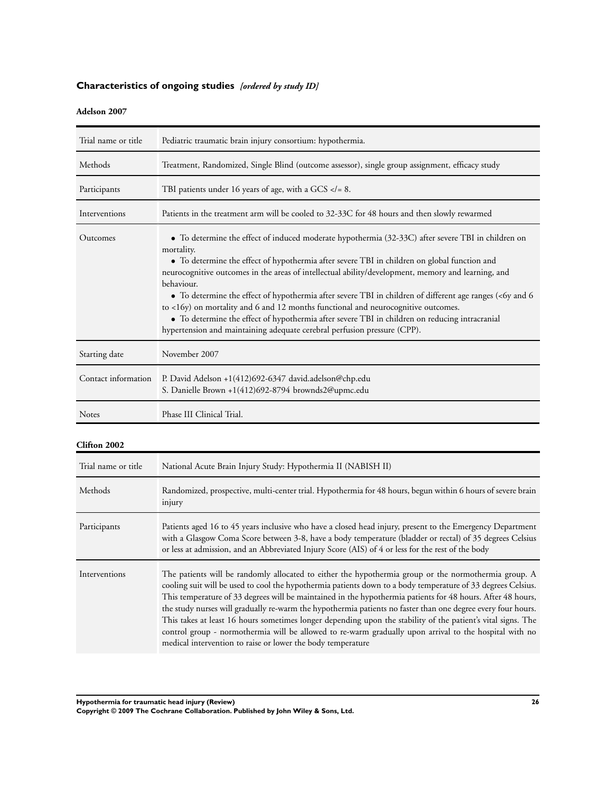## <span id="page-27-0"></span>**Characteristics of ongoing studies** *[ordered by study ID]*

## **Adelson 2007**

| Trial name or title | Pediatric traumatic brain injury consortium: hypothermia.                                                                                                                                                                                                                                                                                                                                                                                                                                                                                                                                                                                                                                                                           |
|---------------------|-------------------------------------------------------------------------------------------------------------------------------------------------------------------------------------------------------------------------------------------------------------------------------------------------------------------------------------------------------------------------------------------------------------------------------------------------------------------------------------------------------------------------------------------------------------------------------------------------------------------------------------------------------------------------------------------------------------------------------------|
| Methods             | Treatment, Randomized, Single Blind (outcome assessor), single group assignment, efficacy study                                                                                                                                                                                                                                                                                                                                                                                                                                                                                                                                                                                                                                     |
| Participants        | TBI patients under 16 years of age, with a GCS $\lt$ = 8.                                                                                                                                                                                                                                                                                                                                                                                                                                                                                                                                                                                                                                                                           |
| Interventions       | Patients in the treatment arm will be cooled to 32-33C for 48 hours and then slowly rewarmed                                                                                                                                                                                                                                                                                                                                                                                                                                                                                                                                                                                                                                        |
| Outcomes            | • To determine the effect of induced moderate hypothermia (32-33C) after severe TBI in children on<br>mortality.<br>• To determine the effect of hypothermia after severe TBI in children on global function and<br>neurocognitive outcomes in the areas of intellectual ability/development, memory and learning, and<br>behaviour.<br>• To determine the effect of hypothermia after severe TBI in children of different age ranges (<6y and 6<br>to $\langle 16y \rangle$ on mortality and 6 and 12 months functional and neurocognitive outcomes.<br>• To determine the effect of hypothermia after severe TBI in children on reducing intracranial<br>hypertension and maintaining adequate cerebral perfusion pressure (CPP). |
| Starting date       | November 2007                                                                                                                                                                                                                                                                                                                                                                                                                                                                                                                                                                                                                                                                                                                       |
| Contact information | P. David Adelson +1(412)692-6347 david.adelson@chp.edu<br>S. Danielle Brown +1(412)692-8794 brownds2@upmc.edu                                                                                                                                                                                                                                                                                                                                                                                                                                                                                                                                                                                                                       |
| Notes               | Phase III Clinical Trial.                                                                                                                                                                                                                                                                                                                                                                                                                                                                                                                                                                                                                                                                                                           |

## **Clifton 2002**

| Trial name or title | National Acute Brain Injury Study: Hypothermia II (NABISH II)                                                                                                                                                                                                                                                                                                                                                                                                                                                                                                                                                                                                                                                                                |
|---------------------|----------------------------------------------------------------------------------------------------------------------------------------------------------------------------------------------------------------------------------------------------------------------------------------------------------------------------------------------------------------------------------------------------------------------------------------------------------------------------------------------------------------------------------------------------------------------------------------------------------------------------------------------------------------------------------------------------------------------------------------------|
| Methods             | Randomized, prospective, multi-center trial. Hypothermia for 48 hours, begun within 6 hours of severe brain<br>injury                                                                                                                                                                                                                                                                                                                                                                                                                                                                                                                                                                                                                        |
| Participants        | Patients aged 16 to 45 years inclusive who have a closed head injury, present to the Emergency Department<br>with a Glasgow Coma Score between 3-8, have a body temperature (bladder or rectal) of 35 degrees Celsius<br>or less at admission, and an Abbreviated Injury Score (AIS) of 4 or less for the rest of the body                                                                                                                                                                                                                                                                                                                                                                                                                   |
| Interventions       | The patients will be randomly allocated to either the hypothermia group or the normothermia group. A<br>cooling suit will be used to cool the hypothermia patients down to a body temperature of 33 degrees Celsius.<br>This temperature of 33 degrees will be maintained in the hypothermia patients for 48 hours. After 48 hours,<br>the study nurses will gradually re-warm the hypothermia patients no faster than one degree every four hours.<br>This takes at least 16 hours sometimes longer depending upon the stability of the patient's vital signs. The<br>control group - normothermia will be allowed to re-warm gradually upon arrival to the hospital with no<br>medical intervention to raise or lower the body temperature |

**Hypothermia for traumatic head injury (Review) 26**